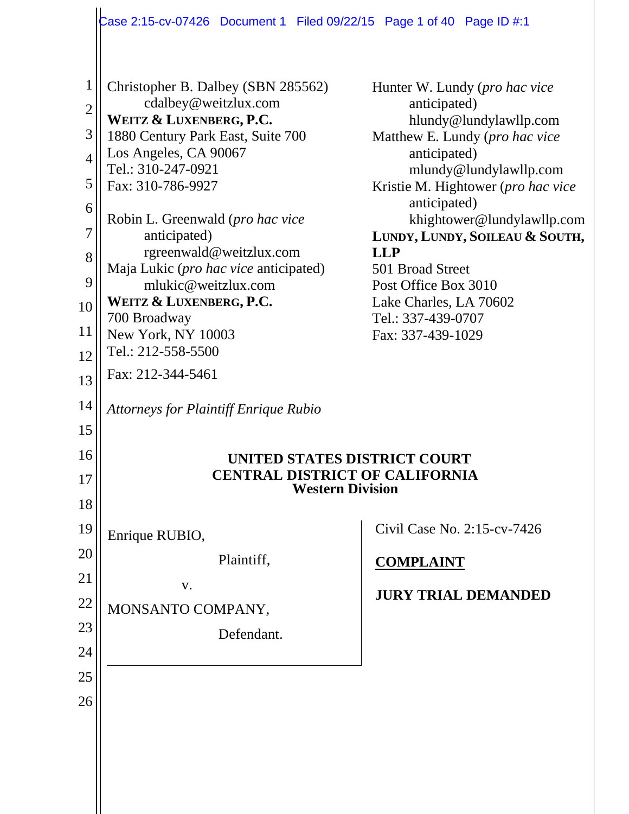|                | Case 2:15-cv-07426 Document 1 Filed 09/22/15 Page 1 of 40 Page ID #:1 |                                                          |  |  |
|----------------|-----------------------------------------------------------------------|----------------------------------------------------------|--|--|
|                |                                                                       |                                                          |  |  |
| $\mathbf{1}$   | Christopher B. Dalbey (SBN 285562)                                    | Hunter W. Lundy ( <i>pro hac vice</i>                    |  |  |
| $\overline{2}$ | cdalbey@weitzlux.com                                                  | anticipated)                                             |  |  |
| 3              | WEITZ & LUXENBERG, P.C.<br>1880 Century Park East, Suite 700          | hlundy@lundylawllp.com<br>Matthew E. Lundy (pro hac vice |  |  |
| $\overline{4}$ | Los Angeles, CA 90067                                                 | anticipated)                                             |  |  |
|                | Tel.: 310-247-0921                                                    | mlundy@lundylawllp.com                                   |  |  |
| 5              | Fax: 310-786-9927                                                     | Kristie M. Hightower (pro hac vice<br>anticipated)       |  |  |
| 6              | Robin L. Greenwald (pro hac vice                                      | khightower@lundylawllp.com                               |  |  |
| $\overline{7}$ | anticipated)                                                          | LUNDY, LUNDY, SOILEAU & SOUTH,                           |  |  |
| 8              | rgreenwald@weitzlux.com                                               | <b>LLP</b>                                               |  |  |
| 9              | Maja Lukic (pro hac vice anticipated)<br>mlukic@weitzlux.com          | 501 Broad Street<br>Post Office Box 3010                 |  |  |
| 10             | WEITZ & LUXENBERG, P.C.                                               | Lake Charles, LA 70602                                   |  |  |
|                | 700 Broadway                                                          | Tel.: 337-439-0707                                       |  |  |
| 11             | New York, NY 10003<br>Tel.: 212-558-5500                              | Fax: 337-439-1029                                        |  |  |
| 12             |                                                                       |                                                          |  |  |
| 13             | Fax: 212-344-5461                                                     |                                                          |  |  |
| 14             | <b>Attorneys for Plaintiff Enrique Rubio</b>                          |                                                          |  |  |
| 15             |                                                                       |                                                          |  |  |
| 16             |                                                                       | <b>UNITED STATES DISTRICT COURT</b>                      |  |  |
| 17             | <b>CENTRAL DISTRICT OF CALIFORNIA</b><br><b>Western Division</b>      |                                                          |  |  |
| 18             |                                                                       |                                                          |  |  |
| 19             | Enrique RUBIO,                                                        | Civil Case No. 2:15-cv-7426                              |  |  |
| 20             | Plaintiff,                                                            | <b>COMPLAINT</b>                                         |  |  |
| 21             | V.                                                                    |                                                          |  |  |
| 22             | MONSANTO COMPANY,                                                     | <b>JURY TRIAL DEMANDED</b>                               |  |  |
| 23             | Defendant.                                                            |                                                          |  |  |
| 24             |                                                                       |                                                          |  |  |
| 25             |                                                                       |                                                          |  |  |
| 26             |                                                                       |                                                          |  |  |
|                |                                                                       |                                                          |  |  |
|                |                                                                       |                                                          |  |  |
|                |                                                                       |                                                          |  |  |
|                |                                                                       |                                                          |  |  |
|                |                                                                       |                                                          |  |  |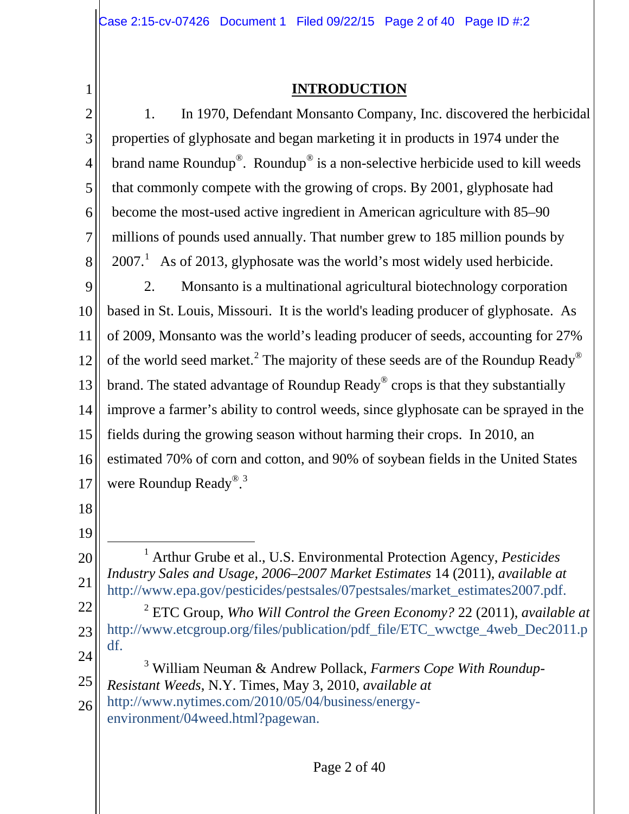### **INTRODUCTION**

2 3 4 5 6 7 8 9 10 11 12 13 14 15 16 17 1. In 1970, Defendant Monsanto Company, Inc. discovered the herbicidal properties of glyphosate and began marketing it in products in 1974 under the brand name Roundup<sup>®</sup>. Roundup<sup>®</sup> is a non-selective herbicide used to kill weeds that commonly compete with the growing of crops. By 2001, glyphosate had become the most-used active ingredient in American agriculture with 85–90 millions of pounds used annually. That number grew to 185 million pounds by  $2007<sup>1</sup>$  As of 2013, glyphosate was the world's most widely used herbicide. 2. Monsanto is a multinational agricultural biotechnology corporation based in St. Louis, Missouri. It is the world's leading producer of glyphosate. As of 2009, Monsanto was the world's leading producer of seeds, accounting for 27% of the world seed market.<sup>2</sup> The majority of these seeds are of the Roundup Ready<sup>®</sup> brand. The stated advantage of Roundup Ready® crops is that they substantially improve a farmer's ability to control weeds, since glyphosate can be sprayed in the fields during the growing season without harming their crops. In 2010, an estimated 70% of corn and cotton, and 90% of soybean fields in the United States were Roundup Ready<sup>® 3</sup>

18

19

20 21 1 Arthur Grube et al., U.S. Environmental Protection Agency, *Pesticides Industry Sales and Usage, 2006–2007 Market Estimates* 14 (2011), *available at* http://www.epa.gov/pesticides/pestsales/07pestsales/market\_estimates2007.pdf.

22 23 24 <sup>2</sup> ETC Group, *Who Will Control the Green Economy?* 22 (2011), *available at* http://www.etcgroup.org/files/publication/pdf\_file/ETC\_wwctge\_4web\_Dec2011.p df.

25 26 <sup>3</sup> William Neuman & Andrew Pollack, *Farmers Cope With Roundup-Resistant Weeds*, N.Y. Times, May 3, 2010, *available at* http://www.nytimes.com/2010/05/04/business/energyenvironment/04weed.html?pagewan.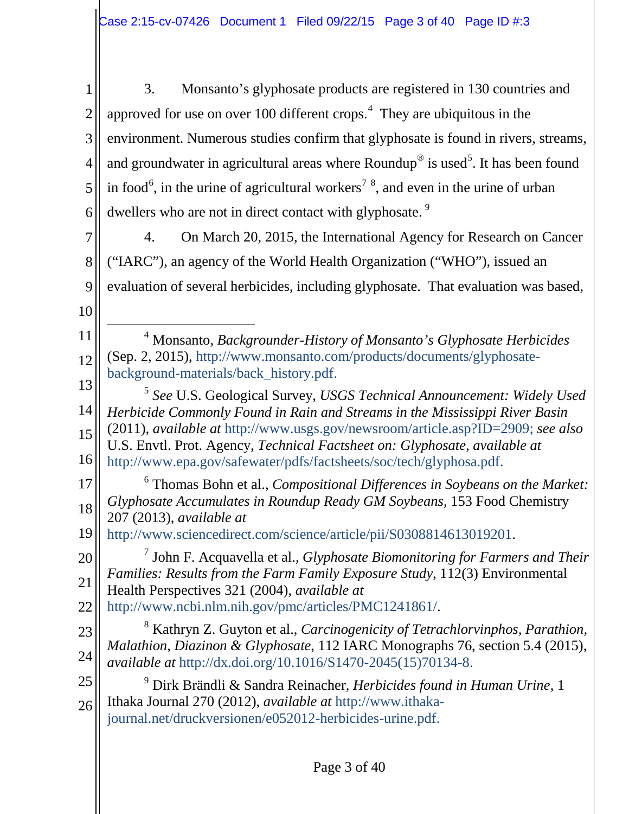| $\mathbf{1}$   | Monsanto's glyphosate products are registered in 130 countries and<br>3.                                               |
|----------------|------------------------------------------------------------------------------------------------------------------------|
| 2              | approved for use on over 100 different crops. <sup>4</sup> They are ubiquitous in the                                  |
| $\overline{3}$ | environment. Numerous studies confirm that glyphosate is found in rivers, streams,                                     |
| $\overline{4}$ | and groundwater in agricultural areas where Roundup <sup>®</sup> is used <sup>5</sup> . It has been found              |
| $5$            | in food <sup>6</sup> , in the urine of agricultural workers <sup>7</sup> <sup>8</sup> , and even in the urine of urban |
| 6 <sup>1</sup> | dwellers who are not in direct contact with glyphosate. <sup>9</sup>                                                   |
| 7 <sup>1</sup> | On March 20, 2015, the International Agency for Research on Cancer<br>4.                                               |
| 8              | ("IARC"), an agency of the World Health Organization ("WHO"), issued an                                                |
| 9              | evaluation of several herbicides, including glyphosate. That evaluation was based,                                     |

- 10
- 11 12 13 4 Monsanto, *Backgrounder-History of Monsanto's Glyphosate Herbicides* (Sep. 2, 2015), http://www.monsanto.com/products/documents/glyphosatebackground-materials/back\_history.pdf.
- 14 15 16 <sup>5</sup> *See* U.S. Geological Survey, *USGS Technical Announcement: Widely Used Herbicide Commonly Found in Rain and Streams in the Mississippi River Basin* (2011), *available at* http://www.usgs.gov/newsroom/article.asp?ID=2909; *see also*  U.S. Envtl. Prot. Agency, *Technical Factsheet on: Glyphosate*, *available at* http://www.epa.gov/safewater/pdfs/factsheets/soc/tech/glyphosa.pdf.
- 17 18 <sup>6</sup> Thomas Bohn et al., *Compositional Differences in Soybeans on the Market: Glyphosate Accumulates in Roundup Ready GM Soybeans*, 153 Food Chemistry 207 (2013), *available at*
- 19 http://www.sciencedirect.com/science/article/pii/S0308814613019201.
- 20 21 <sup>7</sup> John F. Acquavella et al., *Glyphosate Biomonitoring for Farmers and Their Families: Results from the Farm Family Exposure Study*, 112(3) Environmental Health Perspectives 321 (2004), *available at*
- 22 http://www.ncbi.nlm.nih.gov/pmc/articles/PMC1241861/.
- 23 24 <sup>8</sup> Kathryn Z. Guyton et al., *Carcinogenicity of Tetrachlorvinphos, Parathion, Malathion, Diazinon & Glyphosate*, 112 IARC Monographs 76, section 5.4 (2015), *available at* http://dx.doi.org/10.1016/S1470-2045(15)70134-8.
- 25 26 <sup>9</sup> Dirk Brändli & Sandra Reinacher, *Herbicides found in Human Urine*, 1 Ithaka Journal 270 (2012), *available at* http://www.ithakajournal.net/druckversionen/e052012-herbicides-urine.pdf.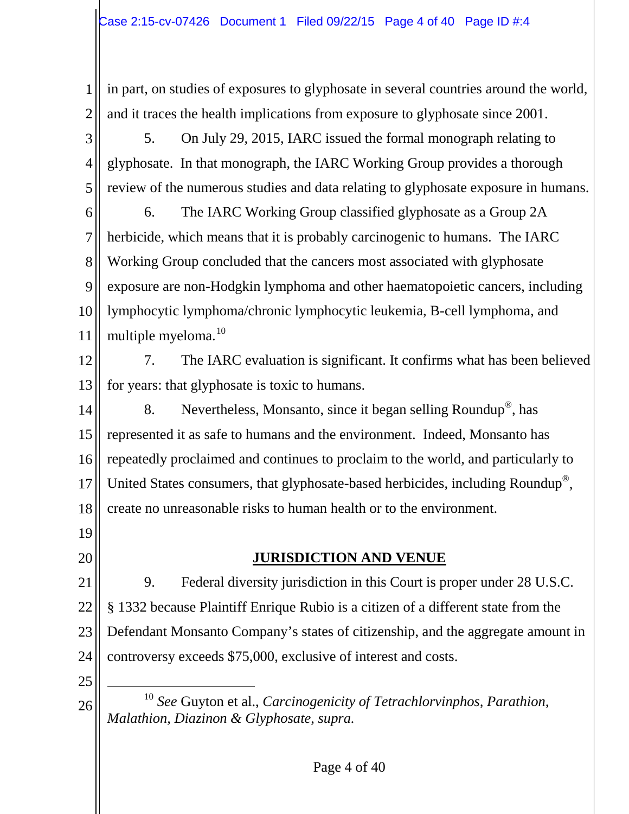1 2 in part, on studies of exposures to glyphosate in several countries around the world, and it traces the health implications from exposure to glyphosate since 2001.

3 4 5 5. On July 29, 2015, IARC issued the formal monograph relating to glyphosate. In that monograph, the IARC Working Group provides a thorough review of the numerous studies and data relating to glyphosate exposure in humans.

6 7 8 9 10 11 6. The IARC Working Group classified glyphosate as a Group 2A herbicide, which means that it is probably carcinogenic to humans. The IARC Working Group concluded that the cancers most associated with glyphosate exposure are non-Hodgkin lymphoma and other haematopoietic cancers, including lymphocytic lymphoma/chronic lymphocytic leukemia, B-cell lymphoma, and multiple myeloma.<sup>10</sup>

12 13 7. The IARC evaluation is significant. It confirms what has been believed for years: that glyphosate is toxic to humans.

14 15 16 17 18 8. Nevertheless, Monsanto, since it began selling Roundup®, has represented it as safe to humans and the environment. Indeed, Monsanto has repeatedly proclaimed and continues to proclaim to the world, and particularly to United States consumers, that glyphosate-based herbicides, including Roundup®, create no unreasonable risks to human health or to the environment.

- 19
- 20

### **JURISDICTION AND VENUE**

21 22 23 24 9. Federal diversity jurisdiction in this Court is proper under 28 U.S.C. § 1332 because Plaintiff Enrique Rubio is a citizen of a different state from the Defendant Monsanto Company's states of citizenship, and the aggregate amount in controversy exceeds \$75,000, exclusive of interest and costs.

25 26

 10 *See* Guyton et al., *Carcinogenicity of Tetrachlorvinphos, Parathion, Malathion, Diazinon & Glyphosate*, *supra.*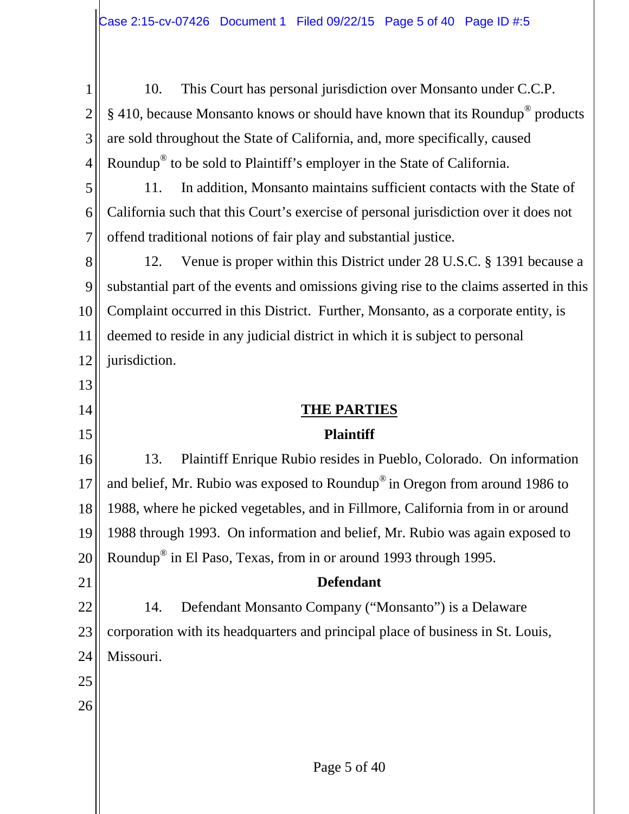| 1              | This Court has personal jurisdiction over Monsanto under C.C.P.<br>10.                       |
|----------------|----------------------------------------------------------------------------------------------|
| $\overline{2}$ | $\S$ 410, because Monsanto knows or should have known that its Roundup <sup>®</sup> products |
| 3              | are sold throughout the State of California, and, more specifically, caused                  |
| $\overline{4}$ | Roundup <sup>®</sup> to be sold to Plaintiff's employer in the State of California.          |
| 5              | In addition, Monsanto maintains sufficient contacts with the State of<br>11.                 |
| 6              | California such that this Court's exercise of personal jurisdiction over it does not         |
| 7              | offend traditional notions of fair play and substantial justice.                             |
| 8              | Venue is proper within this District under 28 U.S.C. § 1391 because a<br>12.                 |
| 9              | substantial part of the events and omissions giving rise to the claims asserted in this      |
| 10             | Complaint occurred in this District. Further, Monsanto, as a corporate entity, is            |
| 11             | deemed to reside in any judicial district in which it is subject to personal                 |
| 12             | jurisdiction.                                                                                |
| 13             |                                                                                              |
| 14             | <b>THE PARTIES</b>                                                                           |
| 15             | <b>Plaintiff</b>                                                                             |
| 16             | Plaintiff Enrique Rubio resides in Pueblo, Colorado. On information<br>13.                   |
| 17             | and belief, Mr. Rubio was exposed to Roundup <sup>®</sup> in Oregon from around 1986 to      |
| 18             | 1988, where he picked vegetables, and in Fillmore, California from in or around              |
| 19             | 1988 through 1993. On information and belief, Mr. Rubio was again exposed to                 |
| 20             | Roundup <sup>®</sup> in El Paso, Texas, from in or around 1993 through 1995.                 |
| 21             | <b>Defendant</b>                                                                             |
| 22             | Defendant Monsanto Company ("Monsanto") is a Delaware<br>14.                                 |
| 23             | corporation with its headquarters and principal place of business in St. Louis,              |
| 24             | Missouri.                                                                                    |
| 25             |                                                                                              |
| 26             |                                                                                              |
|                |                                                                                              |
|                | Page 5 of 40                                                                                 |
|                |                                                                                              |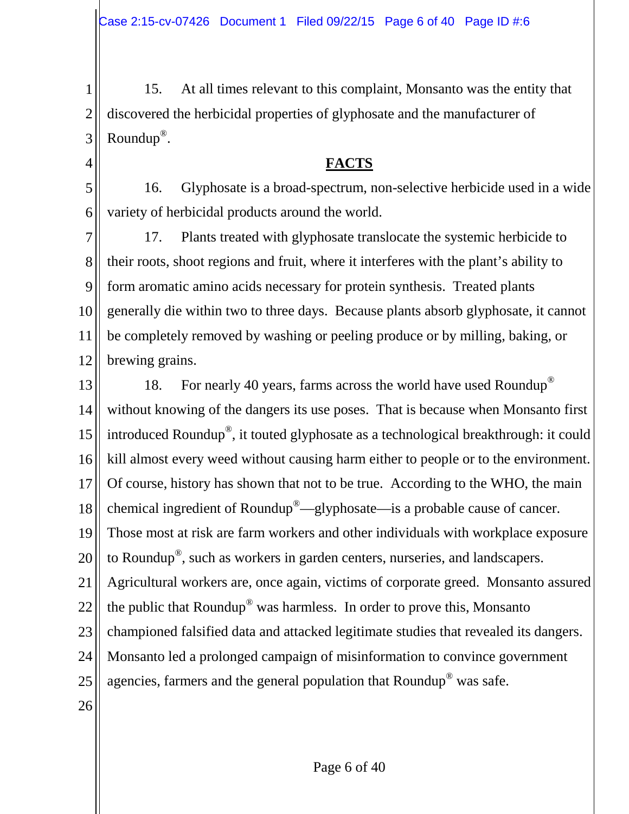1 2 3 15. At all times relevant to this complaint, Monsanto was the entity that discovered the herbicidal properties of glyphosate and the manufacturer of Roundup®.

### **FACTS**

5 6 16. Glyphosate is a broad-spectrum, non-selective herbicide used in a wide variety of herbicidal products around the world.

7 8 9 10 11 12 17. Plants treated with glyphosate translocate the systemic herbicide to their roots, shoot regions and fruit, where it interferes with the plant's ability to form aromatic amino acids necessary for protein synthesis. Treated plants generally die within two to three days. Because plants absorb glyphosate, it cannot be completely removed by washing or peeling produce or by milling, baking, or brewing grains.

13 14 15 16 17 18 19 20 21 22 23 24 25 18. For nearly 40 years, farms across the world have used Roundup<sup>®</sup> without knowing of the dangers its use poses. That is because when Monsanto first introduced Roundup®, it touted glyphosate as a technological breakthrough: it could kill almost every weed without causing harm either to people or to the environment. Of course, history has shown that not to be true. According to the WHO, the main chemical ingredient of Roundup®—glyphosate—is a probable cause of cancer. Those most at risk are farm workers and other individuals with workplace exposure to Roundup®, such as workers in garden centers, nurseries, and landscapers. Agricultural workers are, once again, victims of corporate greed. Monsanto assured the public that Roundup® was harmless. In order to prove this, Monsanto championed falsified data and attacked legitimate studies that revealed its dangers. Monsanto led a prolonged campaign of misinformation to convince government agencies, farmers and the general population that Roundup® was safe.

26

4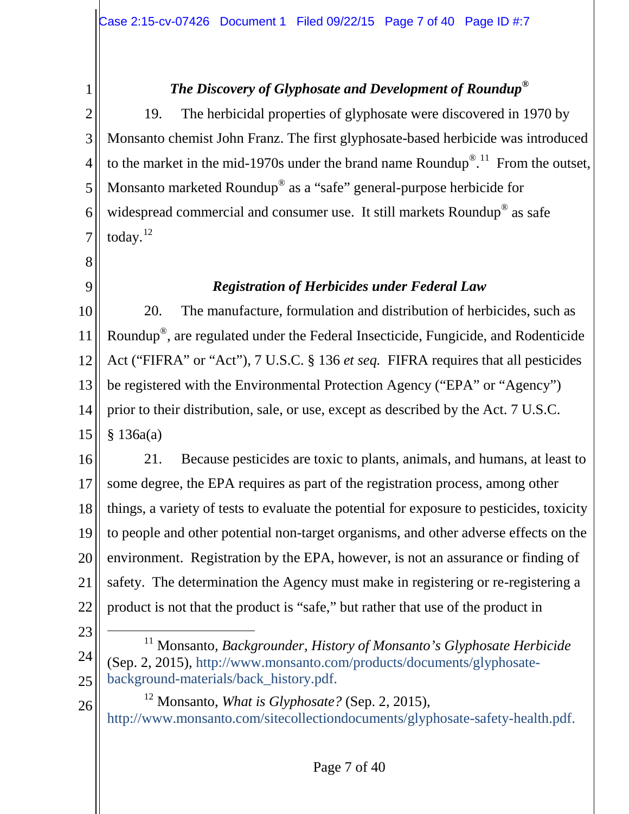# *The Discovery of Glyphosate and Development of Roundup®*

2 3 4 5 6 7 19. The herbicidal properties of glyphosate were discovered in 1970 by Monsanto chemist John Franz. The first glyphosate-based herbicide was introduced to the market in the mid-1970s under the brand name Roundup<sup>® 11</sup> From the outset, Monsanto marketed Roundup® as a "safe" general-purpose herbicide for widespread commercial and consumer use. It still markets Roundup<sup>®</sup> as safe today.<sup>12</sup>

8

1

9

### *Registration of Herbicides under Federal Law*

10 11 12 13 14 15 20. The manufacture, formulation and distribution of herbicides, such as Roundup®, are regulated under the Federal Insecticide, Fungicide, and Rodenticide Act ("FIFRA" or "Act"), 7 U.S.C. § 136 *et seq.* FIFRA requires that all pesticides be registered with the Environmental Protection Agency ("EPA" or "Agency") prior to their distribution, sale, or use, except as described by the Act. 7 U.S.C. § 136a(a)

16 17 18 19 20 21 22 21. Because pesticides are toxic to plants, animals, and humans, at least to some degree, the EPA requires as part of the registration process, among other things, a variety of tests to evaluate the potential for exposure to pesticides, toxicity to people and other potential non-target organisms, and other adverse effects on the environment. Registration by the EPA, however, is not an assurance or finding of safety. The determination the Agency must make in registering or re-registering a product is not that the product is "safe," but rather that use of the product in

23

24

25

26

 11 Monsanto*, Backgrounder, History of Monsanto's Glyphosate Herbicide* (Sep. 2, 2015), http://www.monsanto.com/products/documents/glyphosatebackground-materials/back\_history.pdf.

<sup>12</sup> Monsanto, *What is Glyphosate?* (Sep. 2, 2015), http://www.monsanto.com/sitecollectiondocuments/glyphosate-safety-health.pdf.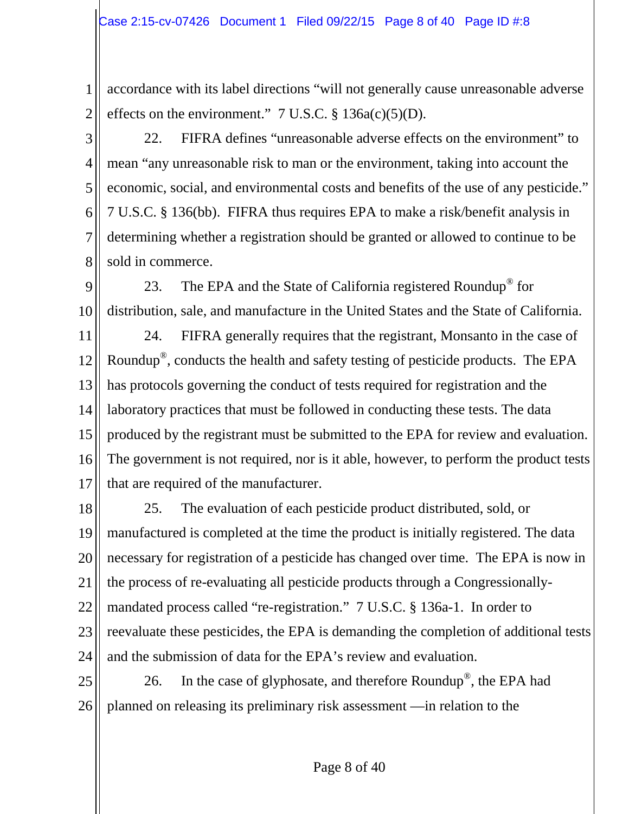2

accordance with its label directions "will not generally cause unreasonable adverse effects on the environment."  $7 \text{ U.S.C. } § 136a(c)(5)(D)$ .

3 4 5 6 7 8 22. FIFRA defines "unreasonable adverse effects on the environment" to mean "any unreasonable risk to man or the environment, taking into account the economic, social, and environmental costs and benefits of the use of any pesticide." 7 U.S.C. § 136(bb). FIFRA thus requires EPA to make a risk/benefit analysis in determining whether a registration should be granted or allowed to continue to be sold in commerce.

9 10 23. The EPA and the State of California registered Roundup<sup>®</sup> for distribution, sale, and manufacture in the United States and the State of California.

11 12 13 14 15 16 17 24. FIFRA generally requires that the registrant, Monsanto in the case of Roundup®, conducts the health and safety testing of pesticide products. The EPA has protocols governing the conduct of tests required for registration and the laboratory practices that must be followed in conducting these tests. The data produced by the registrant must be submitted to the EPA for review and evaluation. The government is not required, nor is it able, however, to perform the product tests that are required of the manufacturer.

18 19 20 21 22 23 24 25 25. The evaluation of each pesticide product distributed, sold, or manufactured is completed at the time the product is initially registered. The data necessary for registration of a pesticide has changed over time. The EPA is now in the process of re-evaluating all pesticide products through a Congressionallymandated process called "re-registration." 7 U.S.C. § 136a-1. In order to reevaluate these pesticides, the EPA is demanding the completion of additional tests and the submission of data for the EPA's review and evaluation. 26. In the case of glyphosate, and therefore Roundup<sup>®</sup>, the EPA had

26 planned on releasing its preliminary risk assessment —in relation to the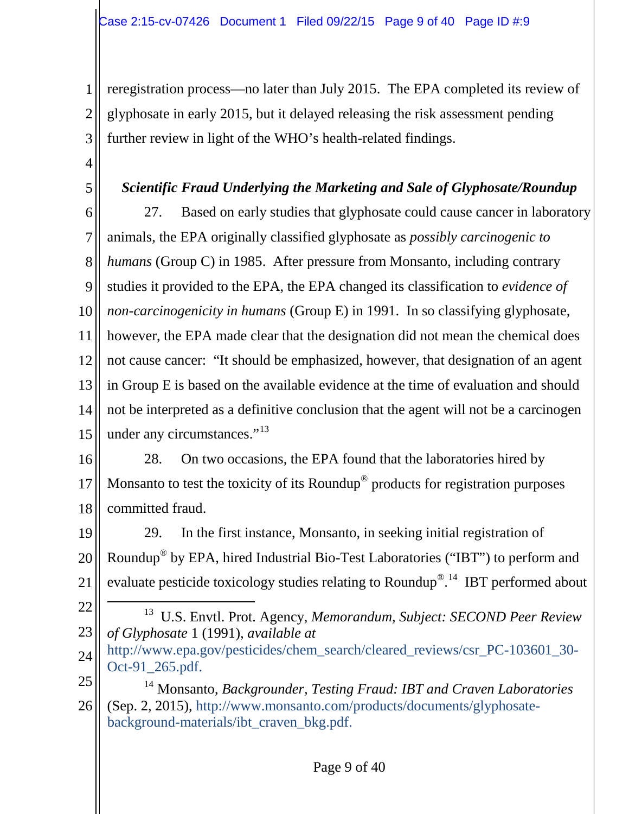reregistration process—no later than July 2015. The EPA completed its review of glyphosate in early 2015, but it delayed releasing the risk assessment pending further review in light of the WHO's health-related findings.

4

5

1

2

3

# *Scientific Fraud Underlying the Marketing and Sale of Glyphosate/Roundup*

6 7 8 9 10 11 12 13 14 15 27. Based on early studies that glyphosate could cause cancer in laboratory animals, the EPA originally classified glyphosate as *possibly carcinogenic to humans* (Group C) in 1985. After pressure from Monsanto, including contrary studies it provided to the EPA, the EPA changed its classification to *evidence of non-carcinogenicity in humans* (Group E) in 1991. In so classifying glyphosate, however, the EPA made clear that the designation did not mean the chemical does not cause cancer: "It should be emphasized, however, that designation of an agent in Group E is based on the available evidence at the time of evaluation and should not be interpreted as a definitive conclusion that the agent will not be a carcinogen under any circumstances."<sup>13</sup>

16 17 18 28. On two occasions, the EPA found that the laboratories hired by Monsanto to test the toxicity of its Roundup<sup>®</sup> products for registration purposes committed fraud.

19 20 21 29. In the first instance, Monsanto, in seeking initial registration of Roundup® by EPA, hired Industrial Bio-Test Laboratories ("IBT") to perform and evaluate pesticide toxicology studies relating to Roundup<sup>® 14</sup> IBT performed about

- 22
- 23 13 U.S. Envtl. Prot. Agency, *Memorandum, Subject: SECOND Peer Review of Glyphosate* 1 (1991), *available at*
- 24 http://www.epa.gov/pesticides/chem\_search/cleared\_reviews/csr\_PC-103601\_30- Oct-91\_265.pdf.
- 25 26 <sup>14</sup> Monsanto, *Backgrounder, Testing Fraud: IBT and Craven Laboratories* (Sep. 2, 2015), http://www.monsanto.com/products/documents/glyphosatebackground-materials/ibt\_craven\_bkg.pdf.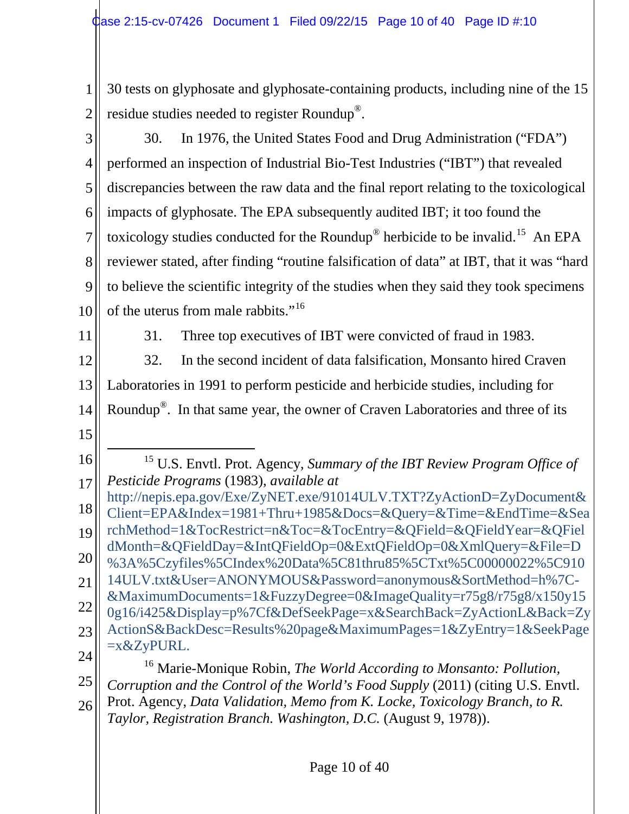| $\left  \frac{1}{1} \right $ 30 tests on glyphosate and glyphosate-containing products, including nine of the 15 |
|------------------------------------------------------------------------------------------------------------------|
| 2. residue studies needed to register Roundup <sup>®</sup> .                                                     |

3 4 5 6 7 8 9 10 30. In 1976, the United States Food and Drug Administration ("FDA") performed an inspection of Industrial Bio-Test Industries ("IBT") that revealed discrepancies between the raw data and the final report relating to the toxicological impacts of glyphosate. The EPA subsequently audited IBT; it too found the toxicology studies conducted for the Roundup<sup>®</sup> herbicide to be invalid.<sup>15</sup> An EPA reviewer stated, after finding "routine falsification of data" at IBT, that it was "hard to believe the scientific integrity of the studies when they said they took specimens of the uterus from male rabbits."<sup>16</sup>

11

31. Three top executives of IBT were convicted of fraud in 1983.

12 13 14 32. In the second incident of data falsification, Monsanto hired Craven Laboratories in 1991 to perform pesticide and herbicide studies, including for Roundup®. In that same year, the owner of Craven Laboratories and three of its

15

16 17 18 19 15 U.S. Envtl. Prot. Agency, *Summary of the IBT Review Program Office of Pesticide Programs* (1983), *available at*  http://nepis.epa.gov/Exe/ZyNET.exe/91014ULV.TXT?ZyActionD=ZyDocument& Client=EPA&Index=1981+Thru+1985&Docs=&Query=&Time=&EndTime=&Sea rchMethod=1&TocRestrict=n&Toc=&TocEntry=&QField=&QFieldYear=&QFiel dMonth=&QFieldDay=&IntQFieldOp=0&ExtQFieldOp=0&XmlQuery=&File=D

- 20 %3A%5Czyfiles%5CIndex%20Data%5C81thru85%5CTxt%5C00000022%5C910
- 21 14ULV.txt&User=ANONYMOUS&Password=anonymous&SortMethod=h%7C- &MaximumDocuments=1&FuzzyDegree=0&ImageQuality=r75g8/r75g8/x150y15
- 22 0g16/i425&Display=p%7Cf&DefSeekPage=x&SearchBack=ZyActionL&Back=Zy
- 23 ActionS&BackDesc=Results%20page&MaximumPages=1&ZyEntry=1&SeekPage  $=x&ZyPURL$ .
- 24

25 26 <sup>16</sup> Marie-Monique Robin, *The World According to Monsanto: Pollution, Corruption and the Control of the World's Food Supply* (2011) (citing U.S. Envtl. Prot. Agency, *Data Validation, Memo from K. Locke, Toxicology Branch, to R.* 

*Taylor, Registration Branch. Washington, D.C.* (August 9, 1978)).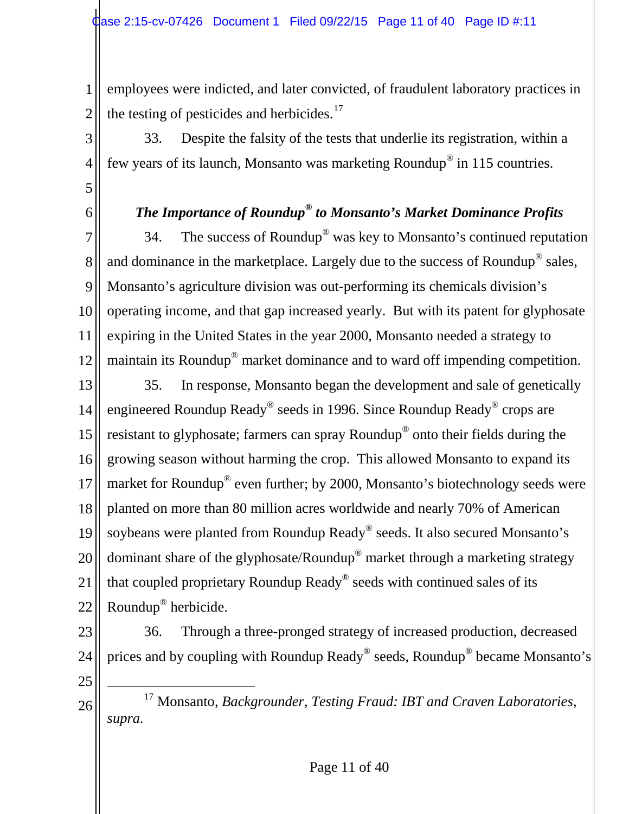1 2 employees were indicted, and later convicted, of fraudulent laboratory practices in the testing of pesticides and herbicides. $17$ 

33. Despite the falsity of the tests that underlie its registration, within a few years of its launch, Monsanto was marketing Roundup® in 115 countries.

5

6

3

4

# *The Importance of Roundup® to Monsanto's Market Dominance Profits*

7 8 9 10 11 12 34. The success of Roundup® was key to Monsanto's continued reputation and dominance in the marketplace. Largely due to the success of Roundup<sup>®</sup> sales, Monsanto's agriculture division was out-performing its chemicals division's operating income, and that gap increased yearly. But with its patent for glyphosate expiring in the United States in the year 2000, Monsanto needed a strategy to maintain its Roundup® market dominance and to ward off impending competition.

13 14 15 16 17 18 19 20 21 22 35. In response, Monsanto began the development and sale of genetically engineered Roundup Ready® seeds in 1996. Since Roundup Ready® crops are resistant to glyphosate; farmers can spray Roundup® onto their fields during the growing season without harming the crop. This allowed Monsanto to expand its market for Roundup® even further; by 2000, Monsanto's biotechnology seeds were planted on more than 80 million acres worldwide and nearly 70% of American soybeans were planted from Roundup Ready® seeds. It also secured Monsanto's dominant share of the glyphosate/Roundup® market through a marketing strategy that coupled proprietary Roundup Ready® seeds with continued sales of its Roundup® herbicide.

- 23
- 24

36. Through a three-pronged strategy of increased production, decreased prices and by coupling with Roundup Ready® seeds, Roundup® became Monsanto's

25

26

 17 Monsanto, *Backgrounder, Testing Fraud: IBT and Craven Laboratories*, *supra.*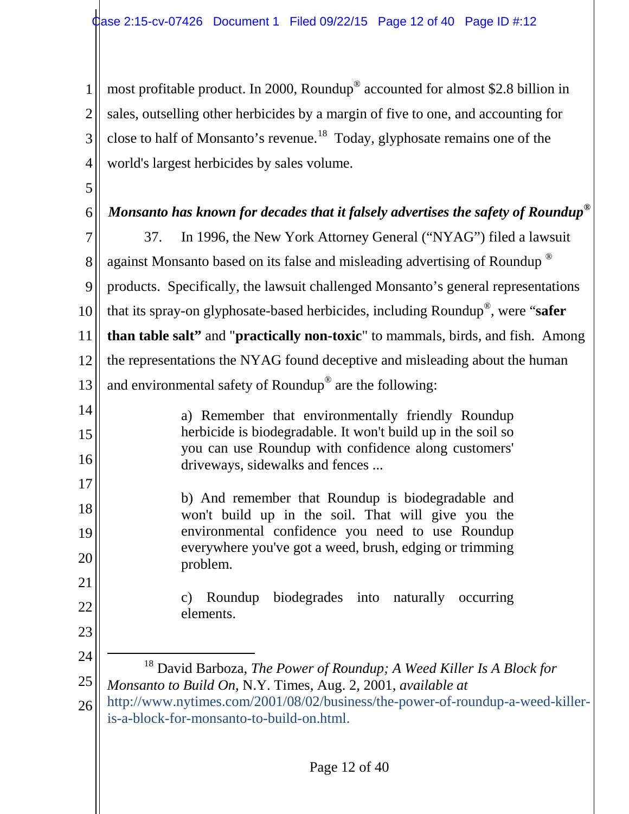1 2 3 4 most profitable product. In 2000, Roundup® accounted for almost \$2.8 billion in sales, outselling other herbicides by a margin of five to one, and accounting for close to half of Monsanto's revenue.<sup>18</sup> Today, glyphosate remains one of the world's largest herbicides by sales volume.

5

6

22

23

24

25

# *Monsanto has known for decades that it falsely advertises the safety of Roundup®*

7 8 9 10 11 12 13 37. In 1996, the New York Attorney General ("NYAG") filed a lawsuit against Monsanto based on its false and misleading advertising of Roundup ® products. Specifically, the lawsuit challenged Monsanto's general representations that its spray-on glyphosate-based herbicides, including Roundup®, were "**safer than table salt"** and "**practically non-toxic**" to mammals, birds, and fish. Among the representations the NYAG found deceptive and misleading about the human and environmental safety of Roundup® are the following:

- 14 15 16 a) Remember that environmentally friendly Roundup herbicide is biodegradable. It won't build up in the soil so you can use Roundup with confidence along customers' driveways, sidewalks and fences ...
- 17 18 19 20 21 b) And remember that Roundup is biodegradable and won't build up in the soil. That will give you the environmental confidence you need to use Roundup everywhere you've got a weed, brush, edging or trimming problem.

c) Roundup biodegrades into naturally occurring elements.

- 18 David Barboza, *The Power of Roundup; A Weed Killer Is A Block for Monsanto to Build On*, N.Y. Times, Aug. 2, 2001, *available at*
- 26 http://www.nytimes.com/2001/08/02/business/the-power-of-roundup-a-weed-killeris-a-block-for-monsanto-to-build-on.html.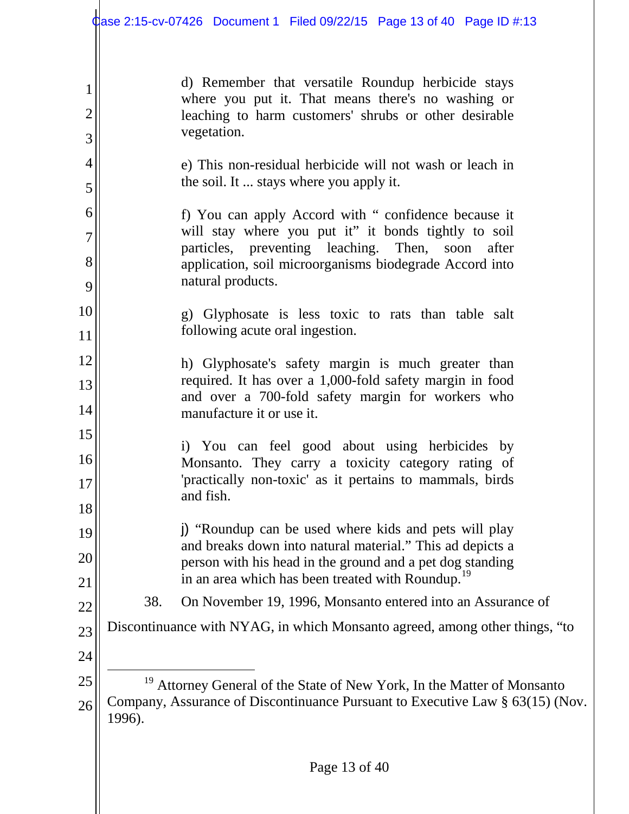1 2 3 4 5 6 7 8 9 10 11 12 13 14 15 16 17 18 19 20 21 22 23 24 25 26 d) Remember that versatile Roundup herbicide stays where you put it. That means there's no washing or leaching to harm customers' shrubs or other desirable vegetation. e) This non-residual herbicide will not wash or leach in the soil. It ... stays where you apply it. f) You can apply Accord with " confidence because it will stay where you put it" it bonds tightly to soil particles, preventing leaching. Then, soon after application, soil microorganisms biodegrade Accord into natural products. g) Glyphosate is less toxic to rats than table salt following acute oral ingestion. h) Glyphosate's safety margin is much greater than required. It has over a 1,000-fold safety margin in food and over a 700-fold safety margin for workers who manufacture it or use it. i) You can feel good about using herbicides by Monsanto. They carry a toxicity category rating of 'practically non-toxic' as it pertains to mammals, birds and fish. j) "Roundup can be used where kids and pets will play and breaks down into natural material." This ad depicts a person with his head in the ground and a pet dog standing in an area which has been treated with Roundup.<sup>19</sup> 38. On November 19, 1996, Monsanto entered into an Assurance of Discontinuance with NYAG, in which Monsanto agreed, among other things, "to <sup>19</sup> Attorney General of the State of New York, In the Matter of Monsanto Company, Assurance of Discontinuance Pursuant to Executive Law § 63(15) (Nov. 1996).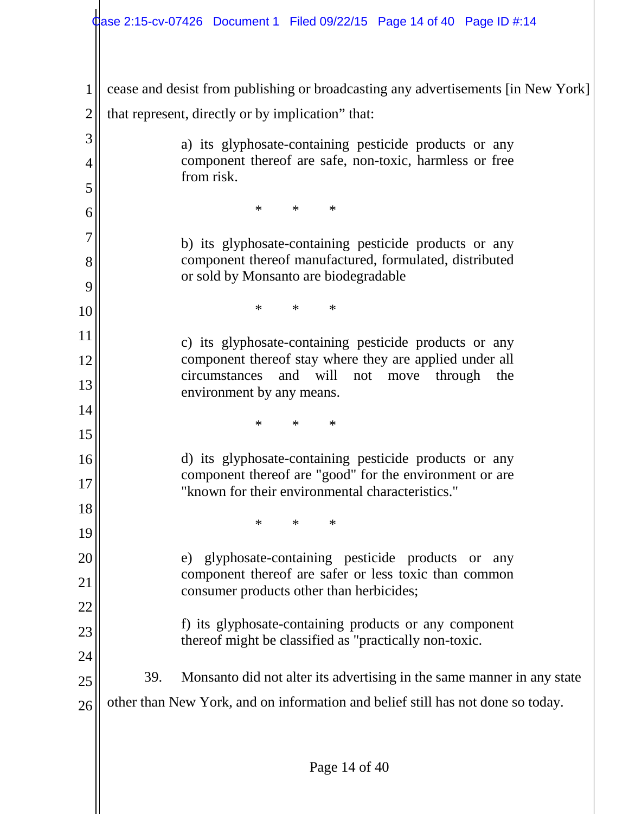|                | <b>Case 2:15-cv-07426 Document 1 Filed 09/22/15 Page 14 of 40 Page ID #:14</b>                                           |
|----------------|--------------------------------------------------------------------------------------------------------------------------|
|                |                                                                                                                          |
| 1              | cease and desist from publishing or broadcasting any advertisements [in New York]                                        |
| $\overline{2}$ | that represent, directly or by implication" that:                                                                        |
| 3              | a) its glyphosate-containing pesticide products or any                                                                   |
| 4              | component thereof are safe, non-toxic, harmless or free<br>from risk.                                                    |
| 5              |                                                                                                                          |
| 6              | $\ast$<br>∗<br>∗                                                                                                         |
| 7              | b) its glyphosate-containing pesticide products or any                                                                   |
| 8              | component thereof manufactured, formulated, distributed<br>or sold by Monsanto are biodegradable                         |
| 9              |                                                                                                                          |
| 10             | $\ast$<br>$\ast$<br>$^{\ast}$                                                                                            |
| 11             | c) its glyphosate-containing pesticide products or any                                                                   |
| 12             | component thereof stay where they are applied under all<br>and<br>will<br>circumstances<br>through<br>the<br>not<br>move |
| 13             | environment by any means.                                                                                                |
| 14             | $\ast$<br>$\ast$<br>$\ast$                                                                                               |
| 15             |                                                                                                                          |
| 16             | d) its glyphosate-containing pesticide products or any<br>component thereof are "good" for the environment or are        |
| 17             | "known for their environmental characteristics."                                                                         |
| 18             | $\ast$<br>$\ast$<br>$\ast$                                                                                               |
| 19             |                                                                                                                          |
| 20             | glyphosate-containing pesticide products or any<br>e)<br>component thereof are safer or less toxic than common           |
| 21<br>22       | consumer products other than herbicides;                                                                                 |
| 23             | f) its glyphosate-containing products or any component                                                                   |
| 24             | thereof might be classified as "practically non-toxic.                                                                   |
| 25             | 39.<br>Monsanto did not alter its advertising in the same manner in any state                                            |
| 26             | other than New York, and on information and belief still has not done so today.                                          |
|                |                                                                                                                          |
|                |                                                                                                                          |
|                | Page 14 of 40                                                                                                            |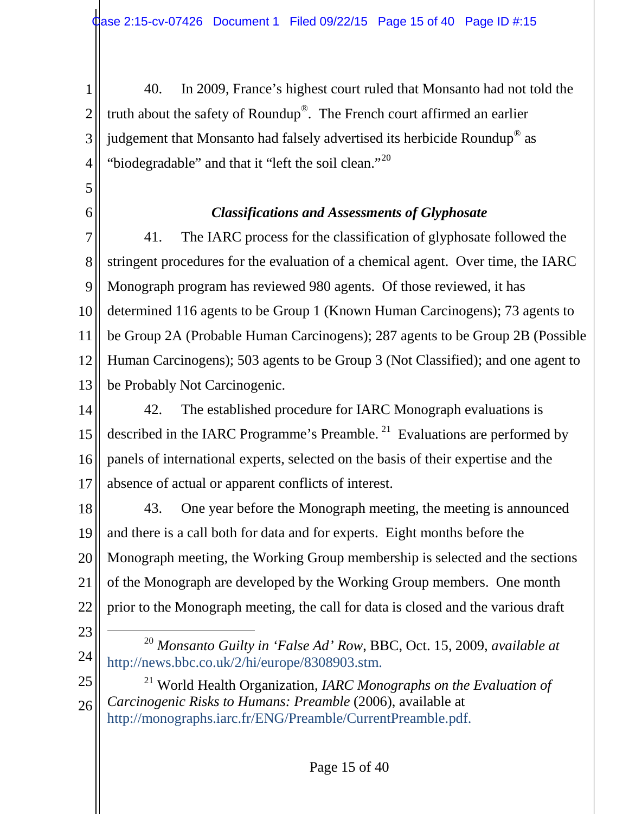3

4

5

6

40. In 2009, France's highest court ruled that Monsanto had not told the truth about the safety of Roundup®. The French court affirmed an earlier judgement that Monsanto had falsely advertised its herbicide Roundup® as "biodegradable" and that it "left the soil clean."<sup>20</sup>

*Classifications and Assessments of Glyphosate*

7 8 9 10 11 12 13 41. The IARC process for the classification of glyphosate followed the stringent procedures for the evaluation of a chemical agent. Over time, the IARC Monograph program has reviewed 980 agents. Of those reviewed, it has determined 116 agents to be Group 1 (Known Human Carcinogens); 73 agents to be Group 2A (Probable Human Carcinogens); 287 agents to be Group 2B (Possible Human Carcinogens); 503 agents to be Group 3 (Not Classified); and one agent to be Probably Not Carcinogenic.

14 15 16 17 42. The established procedure for IARC Monograph evaluations is described in the IARC Programme's Preamble.<sup>21</sup> Evaluations are performed by panels of international experts, selected on the basis of their expertise and the absence of actual or apparent conflicts of interest.

18 19 20 21 22 43. One year before the Monograph meeting, the meeting is announced and there is a call both for data and for experts. Eight months before the Monograph meeting, the Working Group membership is selected and the sections of the Monograph are developed by the Working Group members. One month prior to the Monograph meeting, the call for data is closed and the various draft

- 23
- 24

25 26 <sup>21</sup> World Health Organization, *IARC Monographs on the Evaluation of Carcinogenic Risks to Humans: Preamble* (2006), available at http://monographs.iarc.fr/ENG/Preamble/CurrentPreamble.pdf.

 <sup>20</sup> *Monsanto Guilty in 'False Ad' Row*, BBC, Oct. 15, 2009, *available at* http://news.bbc.co.uk/2/hi/europe/8308903.stm.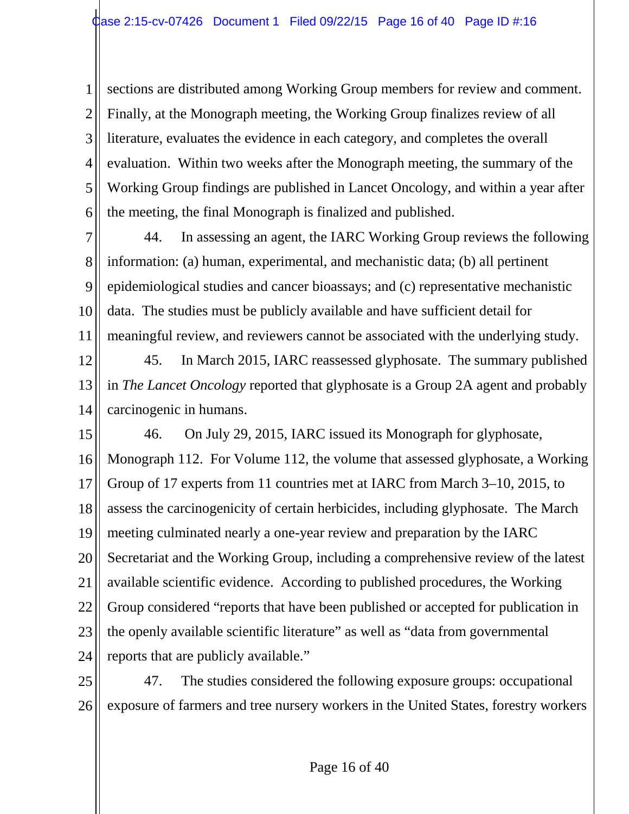1 2 3 4 5 6 sections are distributed among Working Group members for review and comment. Finally, at the Monograph meeting, the Working Group finalizes review of all literature, evaluates the evidence in each category, and completes the overall evaluation. Within two weeks after the Monograph meeting, the summary of the Working Group findings are published in Lancet Oncology, and within a year after the meeting, the final Monograph is finalized and published.

- 7 8 9 10 11 12 13 44. In assessing an agent, the IARC Working Group reviews the following information: (a) human, experimental, and mechanistic data; (b) all pertinent epidemiological studies and cancer bioassays; and (c) representative mechanistic data. The studies must be publicly available and have sufficient detail for meaningful review, and reviewers cannot be associated with the underlying study. 45. In March 2015, IARC reassessed glyphosate. The summary published in *The Lancet Oncology* reported that glyphosate is a Group 2A agent and probably
- 14 carcinogenic in humans.

15 16 17 18 19 20 21 22 23 24 46. On July 29, 2015, IARC issued its Monograph for glyphosate, Monograph 112. For Volume 112, the volume that assessed glyphosate, a Working Group of 17 experts from 11 countries met at IARC from March 3–10, 2015, to assess the carcinogenicity of certain herbicides, including glyphosate. The March meeting culminated nearly a one-year review and preparation by the IARC Secretariat and the Working Group, including a comprehensive review of the latest available scientific evidence. According to published procedures, the Working Group considered "reports that have been published or accepted for publication in the openly available scientific literature" as well as "data from governmental reports that are publicly available."

25 26 47. The studies considered the following exposure groups: occupational exposure of farmers and tree nursery workers in the United States, forestry workers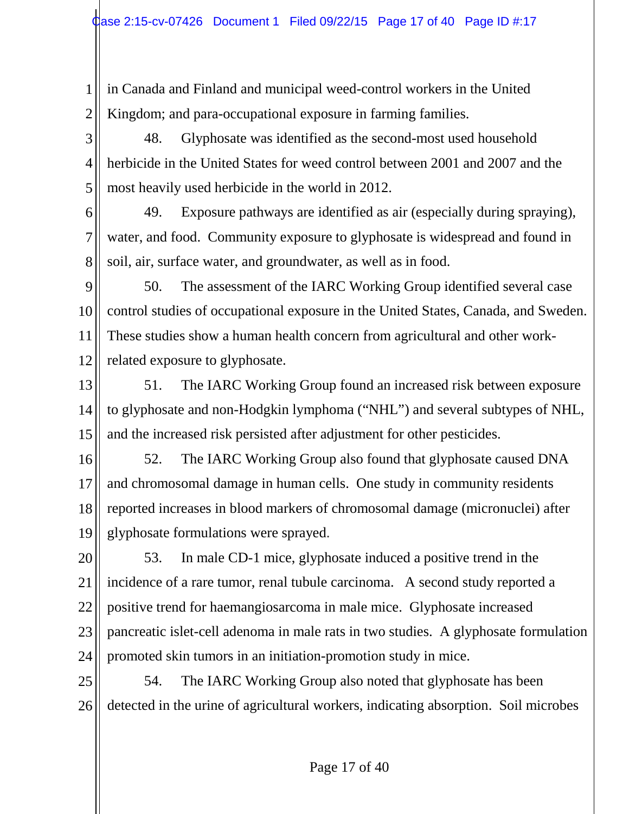1 2 in Canada and Finland and municipal weed-control workers in the United Kingdom; and para-occupational exposure in farming families.

3 4 5 48. Glyphosate was identified as the second-most used household herbicide in the United States for weed control between 2001 and 2007 and the most heavily used herbicide in the world in 2012.

6 7 8 49. Exposure pathways are identified as air (especially during spraying), water, and food. Community exposure to glyphosate is widespread and found in soil, air, surface water, and groundwater, as well as in food.

9 10 11 12 50. The assessment of the IARC Working Group identified several case control studies of occupational exposure in the United States, Canada, and Sweden. These studies show a human health concern from agricultural and other workrelated exposure to glyphosate.

13 14 15 51. The IARC Working Group found an increased risk between exposure to glyphosate and non-Hodgkin lymphoma ("NHL") and several subtypes of NHL, and the increased risk persisted after adjustment for other pesticides.

16 17 18 19 52. The IARC Working Group also found that glyphosate caused DNA and chromosomal damage in human cells. One study in community residents reported increases in blood markers of chromosomal damage (micronuclei) after glyphosate formulations were sprayed.

20 21 22 23 24 53. In male CD-1 mice, glyphosate induced a positive trend in the incidence of a rare tumor, renal tubule carcinoma. A second study reported a positive trend for haemangiosarcoma in male mice. Glyphosate increased pancreatic islet-cell adenoma in male rats in two studies. A glyphosate formulation promoted skin tumors in an initiation-promotion study in mice.

25 26 54. The IARC Working Group also noted that glyphosate has been detected in the urine of agricultural workers, indicating absorption. Soil microbes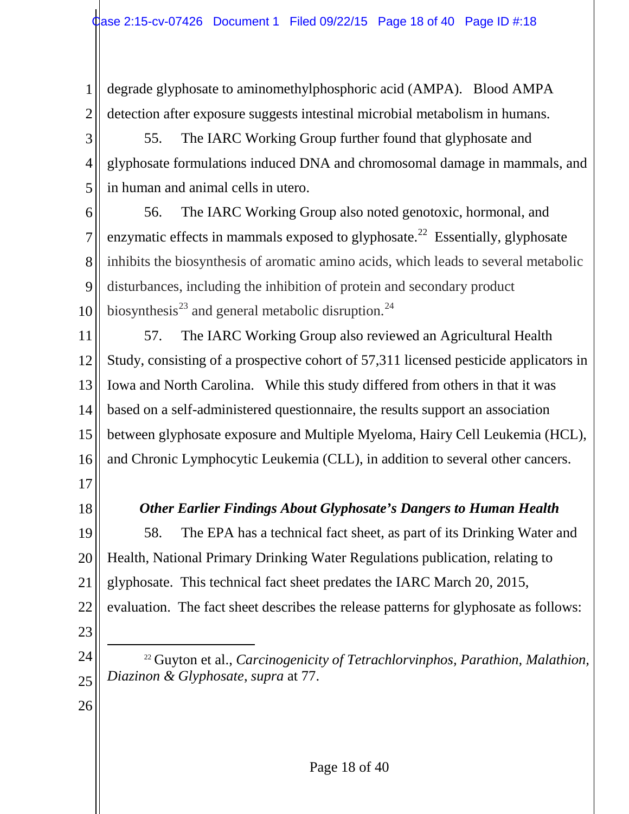1 2 degrade glyphosate to aminomethylphosphoric acid (AMPA). Blood AMPA detection after exposure suggests intestinal microbial metabolism in humans.

3 4 5 55. The IARC Working Group further found that glyphosate and glyphosate formulations induced DNA and chromosomal damage in mammals, and in human and animal cells in utero.

6 7 8 9 10 56. The IARC Working Group also noted genotoxic, hormonal, and enzymatic effects in mammals exposed to glyphosate.<sup>22</sup> Essentially, glyphosate inhibits the biosynthesis of aromatic amino acids, which leads to several metabolic disturbances, including the inhibition of protein and secondary product biosynthesis<sup>23</sup> and general metabolic disruption.<sup>24</sup>

11 12 13 14 15 16 57. The IARC Working Group also reviewed an Agricultural Health Study, consisting of a prospective cohort of 57,311 licensed pesticide applicators in Iowa and North Carolina. While this study differed from others in that it was based on a self-administered questionnaire, the results support an association between glyphosate exposure and Multiple Myeloma, Hairy Cell Leukemia (HCL), and Chronic Lymphocytic Leukemia (CLL), in addition to several other cancers.

- 17
- 18

# *Other Earlier Findings About Glyphosate's Dangers to Human Health*

19 20 21 22 58. The EPA has a technical fact sheet, as part of its Drinking Water and Health, National Primary Drinking Water Regulations publication, relating to glyphosate. This technical fact sheet predates the IARC March 20, 2015, evaluation. The fact sheet describes the release patterns for glyphosate as follows:

- 23
- 24
- <sup>22</sup> Guyton et al., *Carcinogenicity of Tetrachlorvinphos, Parathion, Malathion, Diazinon & Glyphosate*, *supra* at 77.
- 26

25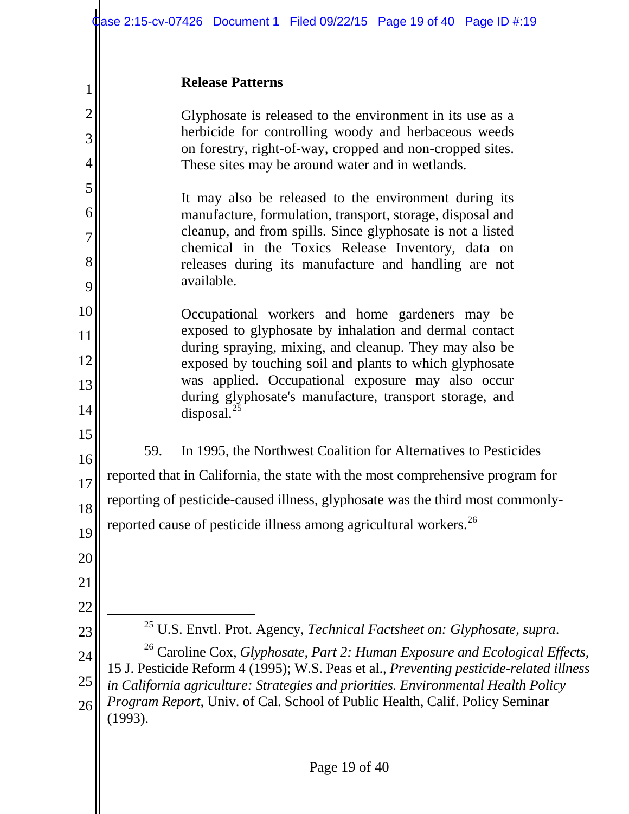### **Release Patterns**

Glyphosate is released to the environment in its use as a herbicide for controlling woody and herbaceous weeds on forestry, right-of-way, cropped and non-cropped sites. These sites may be around water and in wetlands.

It may also be released to the environment during its manufacture, formulation, transport, storage, disposal and cleanup, and from spills. Since glyphosate is not a listed chemical in the Toxics Release Inventory, data on releases during its manufacture and handling are not available.

10 11 12 13 14 Occupational workers and home gardeners may be exposed to glyphosate by inhalation and dermal contact during spraying, mixing, and cleanup. They may also be exposed by touching soil and plants to which glyphosate was applied. Occupational exposure may also occur during glyphosate's manufacture, transport storage, and disposal. $^{25}$ 

16 17 59. In 1995, the Northwest Coalition for Alternatives to Pesticides reported that in California, the state with the most comprehensive program for

18 reporting of pesticide-caused illness, glyphosate was the third most commonly-

19 reported cause of pesticide illness among agricultural workers.<sup>26</sup>

20

15

1

2

3

4

5

6

7

8

9

21 22

23

25 U.S. Envtl. Prot. Agency, *Technical Factsheet on: Glyphosate*, *supra*.

24 <sup>26</sup> Caroline Cox, *Glyphosate, Part 2: Human Exposure and Ecological Effects*,

25 15 J. Pesticide Reform 4 (1995); W.S. Peas et al., *Preventing pesticide-related illness in California agriculture: Strategies and priorities. Environmental Health Policy* 

26 *Program Report*, Univ. of Cal. School of Public Health, Calif. Policy Seminar (1993).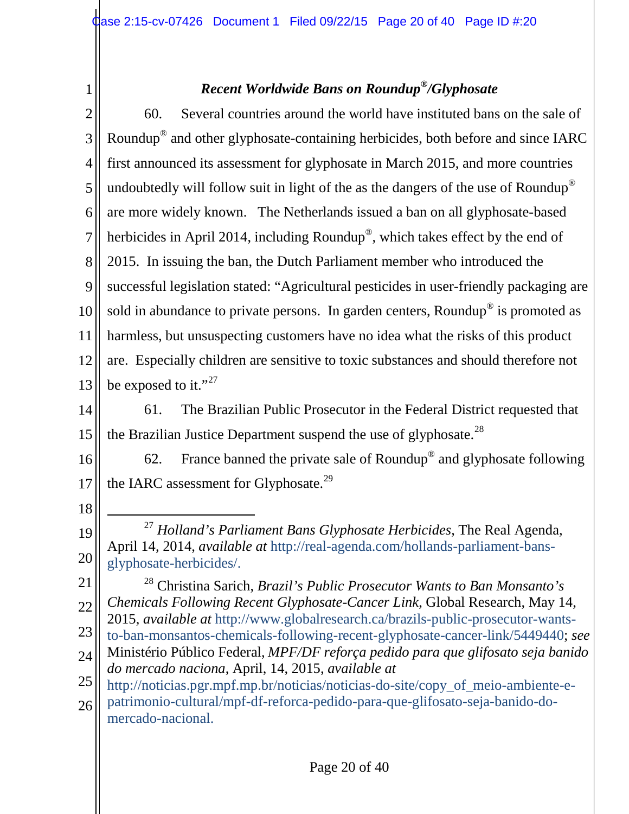# *Recent Worldwide Bans on Roundup®/Glyphosate*

| $\overline{2}$ | Several countries around the world have instituted bans on the sale of<br>60.                                                                                   |
|----------------|-----------------------------------------------------------------------------------------------------------------------------------------------------------------|
| 3              | Roundup <sup>®</sup> and other glyphosate-containing herbicides, both before and since IARC                                                                     |
| $\overline{4}$ | first announced its assessment for glyphosate in March 2015, and more countries                                                                                 |
| 5              | undoubtedly will follow suit in light of the as the dangers of the use of Roundup <sup>®</sup>                                                                  |
| 6              | are more widely known. The Netherlands issued a ban on all glyphosate-based                                                                                     |
| 7              | herbicides in April 2014, including Roundup®, which takes effect by the end of                                                                                  |
| 8              | 2015. In issuing the ban, the Dutch Parliament member who introduced the                                                                                        |
| 9              | successful legislation stated: "Agricultural pesticides in user-friendly packaging are                                                                          |
| 10             | sold in abundance to private persons. In garden centers, Roundup <sup>®</sup> is promoted as                                                                    |
| 11             | harmless, but unsuspecting customers have no idea what the risks of this product                                                                                |
| 12             | are. Especially children are sensitive to toxic substances and should therefore not                                                                             |
| 13             | be exposed to it." <sup>27</sup>                                                                                                                                |
| 14             | The Brazilian Public Prosecutor in the Federal District requested that<br>61.                                                                                   |
| 15             | the Brazilian Justice Department suspend the use of glyphosate. <sup>28</sup>                                                                                   |
| 16             | France banned the private sale of Roundup <sup>®</sup> and glyphosate following<br>62.                                                                          |
| 17             | the IARC assessment for Glyphosate. <sup>29</sup>                                                                                                               |
| 18             |                                                                                                                                                                 |
| 19             | <sup>27</sup> Holland's Parliament Bans Glyphosate Herbicides, The Real Agenda,                                                                                 |
| 20             | April 14, 2014, available at http://real-agenda.com/hollands-parliament-bans-<br>glyphosate-herbicides/.                                                        |
| 21             | <sup>28</sup> Christina Sarich, <i>Brazil's Public Prosecutor Wants to Ban Monsanto's</i>                                                                       |
| 22             | Chemicals Following Recent Glyphosate-Cancer Link, Global Research, May 14,<br>2015, available at http://www.globalresearch.ca/brazils-public-prosecutor-wants- |
| 23             | to-ban-monsantos-chemicals-following-recent-glyphosate-cancer-link/5449440; see                                                                                 |
| 24             | Ministério Público Federal, MPF/DF reforça pedido para que glifosato seja banido<br>do mercado naciona, April, 14, 2015, available at                           |
| 25             | http://noticias.pgr.mpf.mp.br/noticias/noticias-do-site/copy_of_meio-ambiente-e-                                                                                |
| 26             | patrimonio-cultural/mpf-df-reforca-pedido-para-que-glifosato-seja-banido-do-<br>mercado-nacional.                                                               |
|                |                                                                                                                                                                 |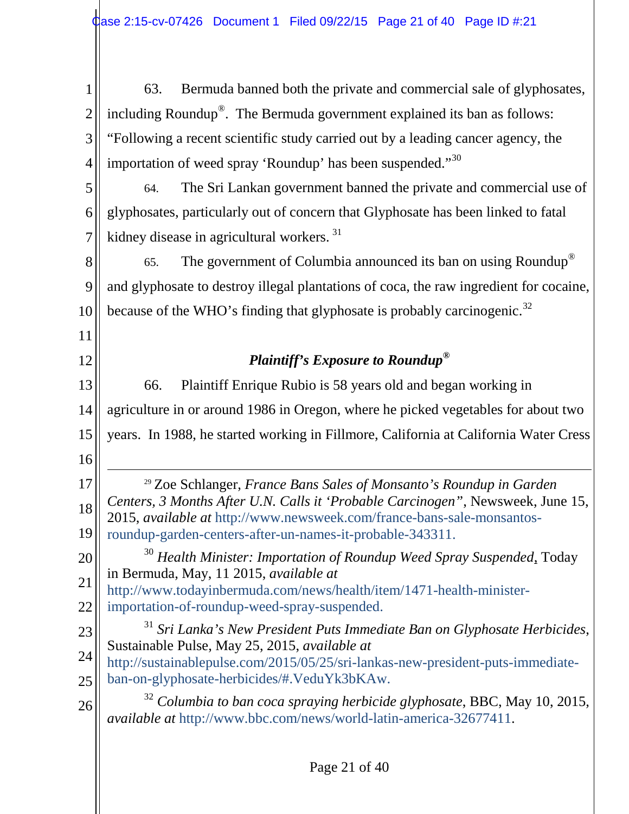|                | Bermuda banned both the private and commercial sale of glyphosates,<br>63.                                                                                |
|----------------|-----------------------------------------------------------------------------------------------------------------------------------------------------------|
| $\overline{2}$ | including Roundup <sup>®</sup> . The Bermuda government explained its ban as follows:                                                                     |
| 3              | "Following a recent scientific study carried out by a leading cancer agency, the                                                                          |
| 4              | importation of weed spray 'Roundup' has been suspended."30                                                                                                |
| 5              | The Sri Lankan government banned the private and commercial use of<br>64.                                                                                 |
| 6              | glyphosates, particularly out of concern that Glyphosate has been linked to fatal                                                                         |
| 7              | kidney disease in agricultural workers. <sup>31</sup>                                                                                                     |
| 8              | The government of Columbia announced its ban on using Roundup <sup>®</sup><br>65.                                                                         |
| 9              | and glyphosate to destroy illegal plantations of coca, the raw ingredient for cocaine,                                                                    |
| 10             | because of the WHO's finding that glyphosate is probably carcinogenic. <sup>32</sup>                                                                      |
| 11             |                                                                                                                                                           |
| 12             | Plaintiff's Exposure to Roundup <sup>®</sup>                                                                                                              |
| 13             | Plaintiff Enrique Rubio is 58 years old and began working in<br>66.                                                                                       |
| 14             | agriculture in or around 1986 in Oregon, where he picked vegetables for about two                                                                         |
| 15             | years. In 1988, he started working in Fillmore, California at California Water Cress                                                                      |
| 16             |                                                                                                                                                           |
| 17             | <sup>29</sup> Zoe Schlanger, France Bans Sales of Monsanto's Roundup in Garden                                                                            |
| 18             | Centers, 3 Months After U.N. Calls it 'Probable Carcinogen", Newsweek, June 15,<br>2015, available at http://www.newsweek.com/france-bans-sale-monsantos- |
| 19             | roundup-garden-centers-after-un-names-it-probable-343311.                                                                                                 |
| 20             | <sup>30</sup> Health Minister: Importation of Roundup Weed Spray Suspended, Today                                                                         |
| 21             | in Bermuda, May, 11 2015, available at<br>http://www.todayinbermuda.com/news/health/item/1471-health-minister-                                            |
| 22             | importation-of-roundup-weed-spray-suspended.                                                                                                              |
| 23             | <sup>31</sup> Sri Lanka's New President Puts Immediate Ban on Glyphosate Herbicides,<br>Sustainable Pulse, May 25, 2015, available at                     |
| 24             | http://sustainablepulse.com/2015/05/25/sri-lankas-new-president-puts-immediate-                                                                           |
| 25             | ban-on-glyphosate-herbicides/#.VeduYk3bKAw.                                                                                                               |
| 26             | $32$ Columbia to ban coca spraying herbicide glyphosate, BBC, May 10, 2015,<br><i>available at http://www.bbc.com/news/world-latin-america-32677411.</i>  |
|                |                                                                                                                                                           |
|                |                                                                                                                                                           |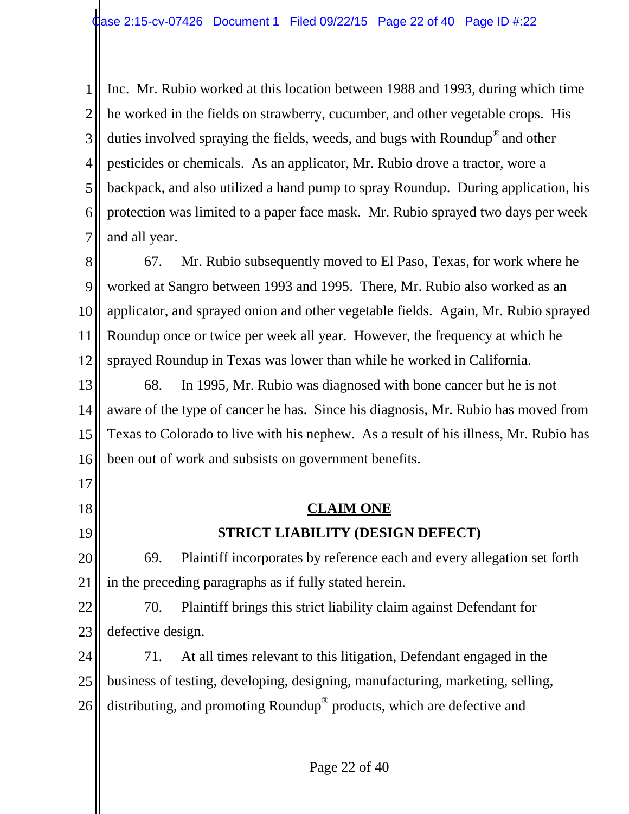1 2 3 4 5 6 7 Inc. Mr. Rubio worked at this location between 1988 and 1993, during which time he worked in the fields on strawberry, cucumber, and other vegetable crops. His duties involved spraying the fields, weeds, and bugs with Roundup® and other pesticides or chemicals. As an applicator, Mr. Rubio drove a tractor, wore a backpack, and also utilized a hand pump to spray Roundup. During application, his protection was limited to a paper face mask. Mr. Rubio sprayed two days per week and all year.

8 9 10 11 12 67. Mr. Rubio subsequently moved to El Paso, Texas, for work where he worked at Sangro between 1993 and 1995. There, Mr. Rubio also worked as an applicator, and sprayed onion and other vegetable fields. Again, Mr. Rubio sprayed Roundup once or twice per week all year. However, the frequency at which he sprayed Roundup in Texas was lower than while he worked in California.

13 14 15 16 68. In 1995, Mr. Rubio was diagnosed with bone cancer but he is not aware of the type of cancer he has. Since his diagnosis, Mr. Rubio has moved from Texas to Colorado to live with his nephew. As a result of his illness, Mr. Rubio has been out of work and subsists on government benefits.

### **CLAIM ONE**

# **STRICT LIABILITY (DESIGN DEFECT)**

20 21 69. Plaintiff incorporates by reference each and every allegation set forth in the preceding paragraphs as if fully stated herein.

22 23 70. Plaintiff brings this strict liability claim against Defendant for defective design.

17

18

19

24 25 26 71. At all times relevant to this litigation, Defendant engaged in the business of testing, developing, designing, manufacturing, marketing, selling, distributing, and promoting Roundup® products, which are defective and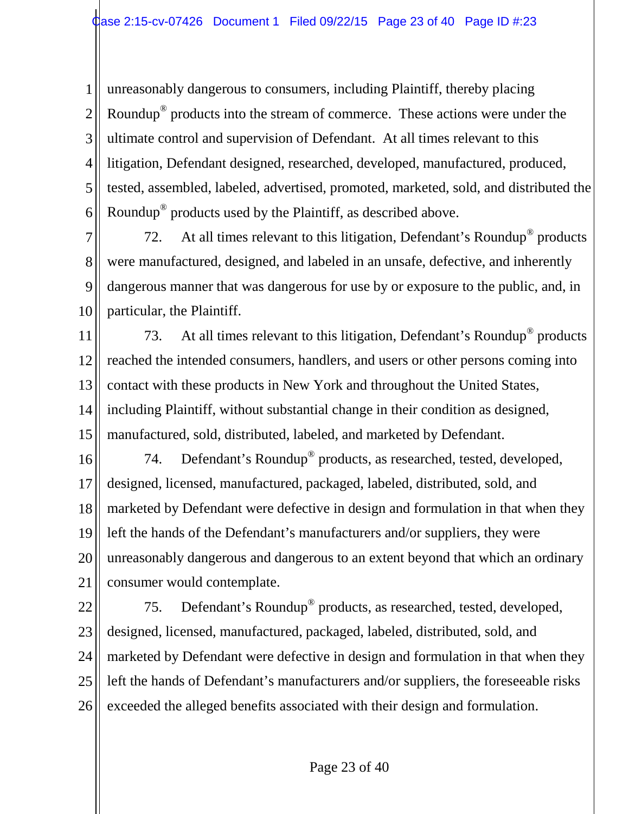1 2 3 4 5 6 unreasonably dangerous to consumers, including Plaintiff, thereby placing Roundup® products into the stream of commerce. These actions were under the ultimate control and supervision of Defendant. At all times relevant to this litigation, Defendant designed, researched, developed, manufactured, produced, tested, assembled, labeled, advertised, promoted, marketed, sold, and distributed the Roundup® products used by the Plaintiff, as described above.

7 8 9 10 72. At all times relevant to this litigation, Defendant's Roundup<sup>®</sup> products were manufactured, designed, and labeled in an unsafe, defective, and inherently dangerous manner that was dangerous for use by or exposure to the public, and, in particular, the Plaintiff.

11 12 13 14 15 73. At all times relevant to this litigation, Defendant's Roundup<sup>®</sup> products reached the intended consumers, handlers, and users or other persons coming into contact with these products in New York and throughout the United States, including Plaintiff, without substantial change in their condition as designed, manufactured, sold, distributed, labeled, and marketed by Defendant.

16 17 18 19 20 21 74. Defendant's Roundup® products, as researched, tested, developed, designed, licensed, manufactured, packaged, labeled, distributed, sold, and marketed by Defendant were defective in design and formulation in that when they left the hands of the Defendant's manufacturers and/or suppliers, they were unreasonably dangerous and dangerous to an extent beyond that which an ordinary consumer would contemplate.

22 23 24 25 26 75. Defendant's Roundup® products, as researched, tested, developed, designed, licensed, manufactured, packaged, labeled, distributed, sold, and marketed by Defendant were defective in design and formulation in that when they left the hands of Defendant's manufacturers and/or suppliers, the foreseeable risks exceeded the alleged benefits associated with their design and formulation.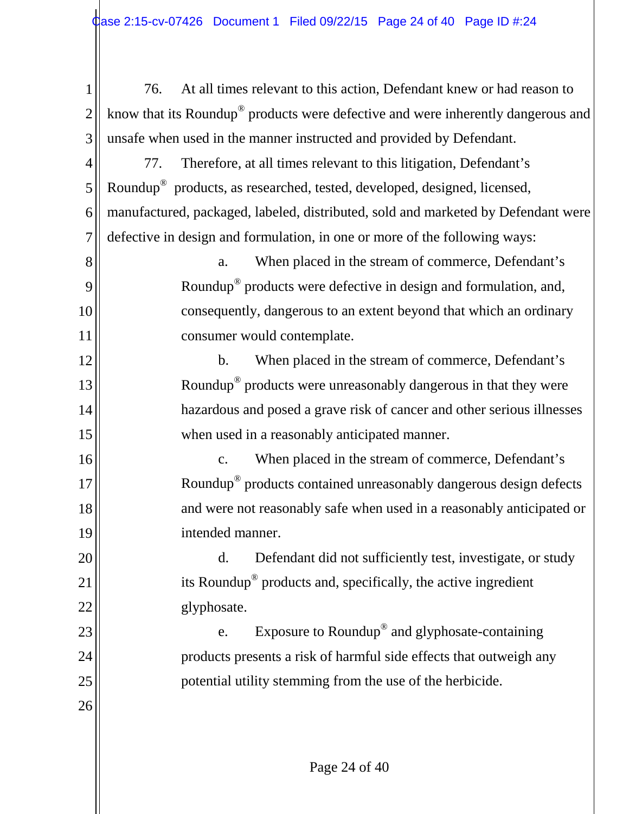1 2 3 76. At all times relevant to this action, Defendant knew or had reason to know that its Roundup® products were defective and were inherently dangerous and unsafe when used in the manner instructed and provided by Defendant.

4 5 6 7 77. Therefore, at all times relevant to this litigation, Defendant's Roundup® products, as researched, tested, developed, designed, licensed, manufactured, packaged, labeled, distributed, sold and marketed by Defendant were defective in design and formulation, in one or more of the following ways:

a. When placed in the stream of commerce, Defendant's Roundup® products were defective in design and formulation, and, consequently, dangerous to an extent beyond that which an ordinary consumer would contemplate.

8

9

10

11

12

13

14

15

16

17

18

19

20

21

22

23

24

25

26

b. When placed in the stream of commerce, Defendant's Roundup® products were unreasonably dangerous in that they were hazardous and posed a grave risk of cancer and other serious illnesses when used in a reasonably anticipated manner.

c. When placed in the stream of commerce, Defendant's Roundup® products contained unreasonably dangerous design defects and were not reasonably safe when used in a reasonably anticipated or intended manner.

d. Defendant did not sufficiently test, investigate, or study its Roundup® products and, specifically, the active ingredient glyphosate.

e. Exposure to Roundup® and glyphosate-containing products presents a risk of harmful side effects that outweigh any potential utility stemming from the use of the herbicide.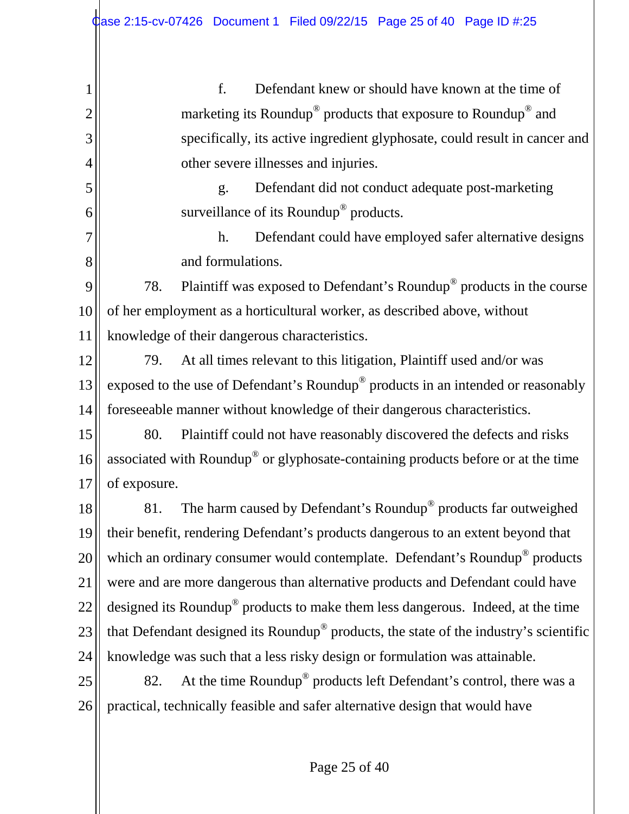1 2 3 4 5 6 7 8 9 10 11 12 13 14 15 16 17 18 19 20 21 22 23 24 25 26 f. Defendant knew or should have known at the time of marketing its Roundup® products that exposure to Roundup® and specifically, its active ingredient glyphosate, could result in cancer and other severe illnesses and injuries. g. Defendant did not conduct adequate post-marketing surveillance of its Roundup<sup>®</sup> products. h. Defendant could have employed safer alternative designs and formulations. 78. Plaintiff was exposed to Defendant's Roundup® products in the course of her employment as a horticultural worker, as described above, without knowledge of their dangerous characteristics. 79. At all times relevant to this litigation, Plaintiff used and/or was exposed to the use of Defendant's Roundup® products in an intended or reasonably foreseeable manner without knowledge of their dangerous characteristics. 80. Plaintiff could not have reasonably discovered the defects and risks associated with Roundup® or glyphosate-containing products before or at the time of exposure. 81. The harm caused by Defendant's Roundup® products far outweighed their benefit, rendering Defendant's products dangerous to an extent beyond that which an ordinary consumer would contemplate. Defendant's Roundup® products were and are more dangerous than alternative products and Defendant could have designed its Roundup® products to make them less dangerous. Indeed, at the time that Defendant designed its Roundup® products, the state of the industry's scientific knowledge was such that a less risky design or formulation was attainable. 82. At the time Roundup<sup>®</sup> products left Defendant's control, there was a practical, technically feasible and safer alternative design that would have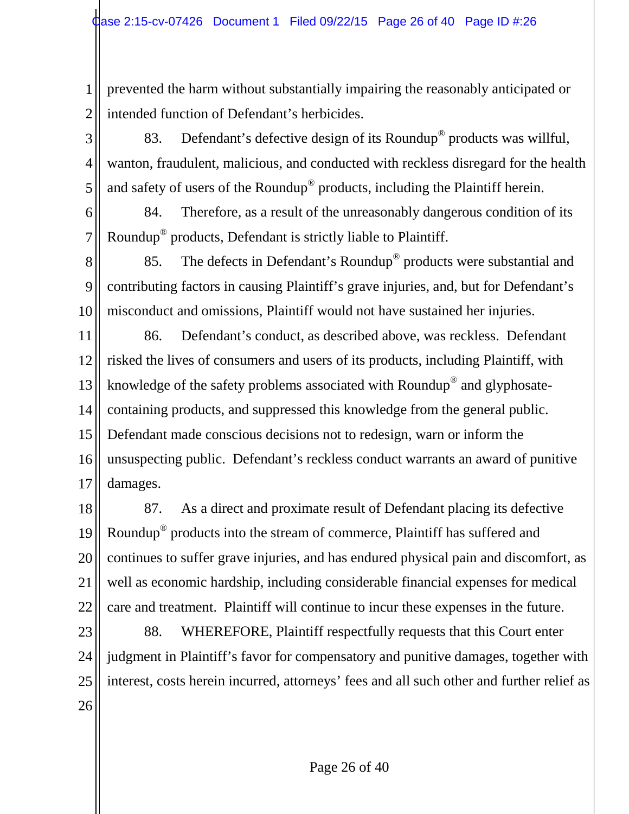2

prevented the harm without substantially impairing the reasonably anticipated or intended function of Defendant's herbicides.

3 4 5 83. Defendant's defective design of its Roundup<sup>®</sup> products was willful, wanton, fraudulent, malicious, and conducted with reckless disregard for the health and safety of users of the Roundup® products, including the Plaintiff herein.

6 7 84. Therefore, as a result of the unreasonably dangerous condition of its Roundup® products, Defendant is strictly liable to Plaintiff.

8 9 10 85. The defects in Defendant's Roundup® products were substantial and contributing factors in causing Plaintiff's grave injuries, and, but for Defendant's misconduct and omissions, Plaintiff would not have sustained her injuries.

11 12 13 14 15 16 17 86. Defendant's conduct, as described above, was reckless. Defendant risked the lives of consumers and users of its products, including Plaintiff, with knowledge of the safety problems associated with Roundup® and glyphosatecontaining products, and suppressed this knowledge from the general public. Defendant made conscious decisions not to redesign, warn or inform the unsuspecting public. Defendant's reckless conduct warrants an award of punitive damages.

18 19 20 21 22 87. As a direct and proximate result of Defendant placing its defective Roundup® products into the stream of commerce, Plaintiff has suffered and continues to suffer grave injuries, and has endured physical pain and discomfort, as well as economic hardship, including considerable financial expenses for medical care and treatment. Plaintiff will continue to incur these expenses in the future.

23 24 25 26 88. WHEREFORE, Plaintiff respectfully requests that this Court enter judgment in Plaintiff's favor for compensatory and punitive damages, together with interest, costs herein incurred, attorneys' fees and all such other and further relief as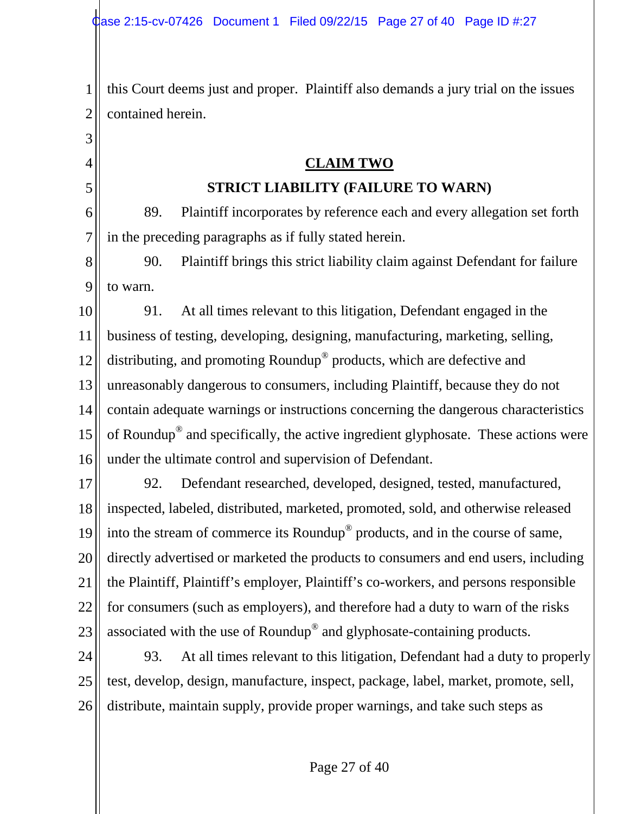4

5

1 2 this Court deems just and proper. Plaintiff also demands a jury trial on the issues contained herein.

### **CLAIM TWO**

# **STRICT LIABILITY (FAILURE TO WARN)**

6 7 89. Plaintiff incorporates by reference each and every allegation set forth in the preceding paragraphs as if fully stated herein.

8 9 90. Plaintiff brings this strict liability claim against Defendant for failure to warn.

10 11 12 13 14 15 16 91. At all times relevant to this litigation, Defendant engaged in the business of testing, developing, designing, manufacturing, marketing, selling, distributing, and promoting Roundup® products, which are defective and unreasonably dangerous to consumers, including Plaintiff, because they do not contain adequate warnings or instructions concerning the dangerous characteristics of Roundup® and specifically, the active ingredient glyphosate. These actions were under the ultimate control and supervision of Defendant.

17 18 19 20 21 22 23 92. Defendant researched, developed, designed, tested, manufactured, inspected, labeled, distributed, marketed, promoted, sold, and otherwise released into the stream of commerce its Roundup® products, and in the course of same, directly advertised or marketed the products to consumers and end users, including the Plaintiff, Plaintiff's employer, Plaintiff's co-workers, and persons responsible for consumers (such as employers), and therefore had a duty to warn of the risks associated with the use of Roundup® and glyphosate-containing products.

24 25 26 93. At all times relevant to this litigation, Defendant had a duty to properly test, develop, design, manufacture, inspect, package, label, market, promote, sell, distribute, maintain supply, provide proper warnings, and take such steps as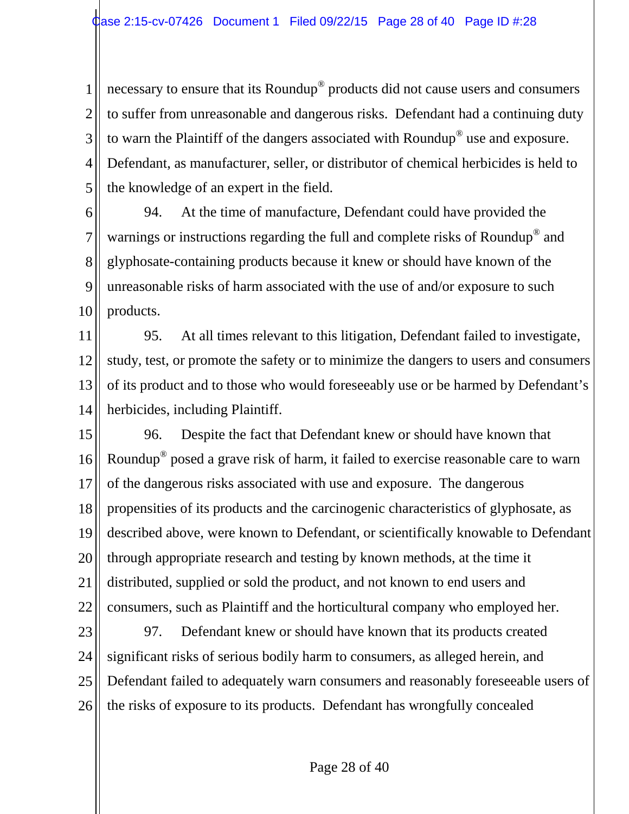1 2 3 4 5 necessary to ensure that its Roundup® products did not cause users and consumers to suffer from unreasonable and dangerous risks. Defendant had a continuing duty to warn the Plaintiff of the dangers associated with Roundup® use and exposure. Defendant, as manufacturer, seller, or distributor of chemical herbicides is held to the knowledge of an expert in the field.

6 7 8 9 10 94. At the time of manufacture, Defendant could have provided the warnings or instructions regarding the full and complete risks of Roundup<sup>®</sup> and glyphosate-containing products because it knew or should have known of the unreasonable risks of harm associated with the use of and/or exposure to such products.

11 12 13 14 95. At all times relevant to this litigation, Defendant failed to investigate, study, test, or promote the safety or to minimize the dangers to users and consumers of its product and to those who would foreseeably use or be harmed by Defendant's herbicides, including Plaintiff.

15 16 17 18 19 20 21 22 96. Despite the fact that Defendant knew or should have known that Roundup® posed a grave risk of harm, it failed to exercise reasonable care to warn of the dangerous risks associated with use and exposure. The dangerous propensities of its products and the carcinogenic characteristics of glyphosate, as described above, were known to Defendant, or scientifically knowable to Defendant through appropriate research and testing by known methods, at the time it distributed, supplied or sold the product, and not known to end users and consumers, such as Plaintiff and the horticultural company who employed her.

23 24 25 26 97. Defendant knew or should have known that its products created significant risks of serious bodily harm to consumers, as alleged herein, and Defendant failed to adequately warn consumers and reasonably foreseeable users of the risks of exposure to its products. Defendant has wrongfully concealed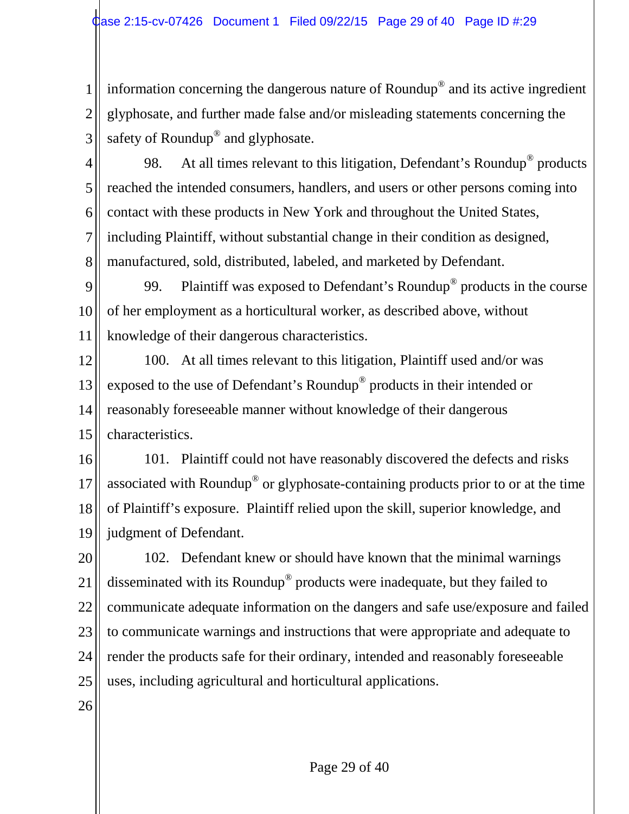1 2 3 information concerning the dangerous nature of Roundup® and its active ingredient glyphosate, and further made false and/or misleading statements concerning the safety of Roundup® and glyphosate.

4 5 6 7 8 98. At all times relevant to this litigation, Defendant's Roundup<sup>®</sup> products reached the intended consumers, handlers, and users or other persons coming into contact with these products in New York and throughout the United States, including Plaintiff, without substantial change in their condition as designed, manufactured, sold, distributed, labeled, and marketed by Defendant.

9 10 11 99. Plaintiff was exposed to Defendant's Roundup® products in the course of her employment as a horticultural worker, as described above, without knowledge of their dangerous characteristics.

12 13 14 15 100. At all times relevant to this litigation, Plaintiff used and/or was exposed to the use of Defendant's Roundup® products in their intended or reasonably foreseeable manner without knowledge of their dangerous characteristics.

16 17 18 19 101. Plaintiff could not have reasonably discovered the defects and risks associated with Roundup® or glyphosate-containing products prior to or at the time of Plaintiff's exposure. Plaintiff relied upon the skill, superior knowledge, and judgment of Defendant.

20 21 22 23 24 25 102. Defendant knew or should have known that the minimal warnings disseminated with its Roundup® products were inadequate, but they failed to communicate adequate information on the dangers and safe use/exposure and failed to communicate warnings and instructions that were appropriate and adequate to render the products safe for their ordinary, intended and reasonably foreseeable uses, including agricultural and horticultural applications.

26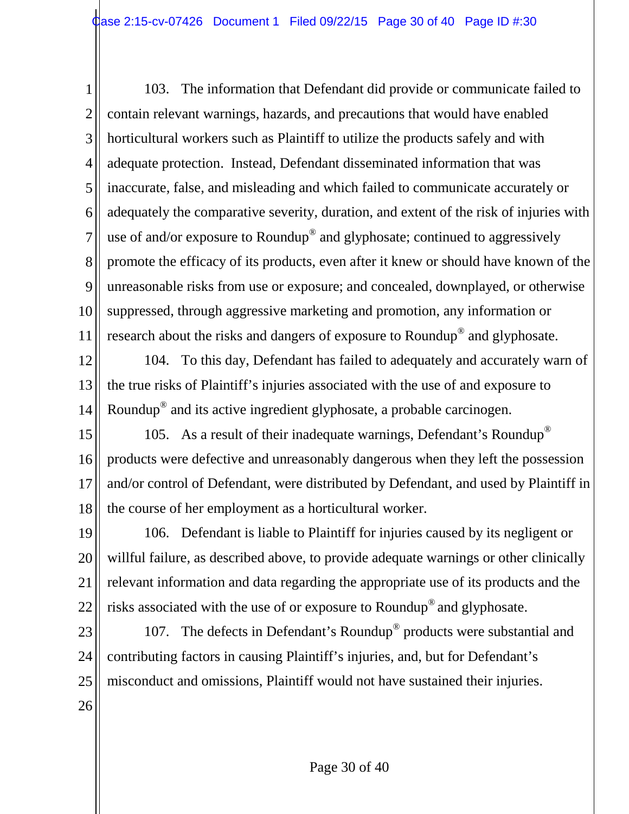1 2 3 4 5 6 7 8 9 10 11 103. The information that Defendant did provide or communicate failed to contain relevant warnings, hazards, and precautions that would have enabled horticultural workers such as Plaintiff to utilize the products safely and with adequate protection. Instead, Defendant disseminated information that was inaccurate, false, and misleading and which failed to communicate accurately or adequately the comparative severity, duration, and extent of the risk of injuries with use of and/or exposure to Roundup® and glyphosate; continued to aggressively promote the efficacy of its products, even after it knew or should have known of the unreasonable risks from use or exposure; and concealed, downplayed, or otherwise suppressed, through aggressive marketing and promotion, any information or research about the risks and dangers of exposure to Roundup® and glyphosate.

12 13 14 104. To this day, Defendant has failed to adequately and accurately warn of the true risks of Plaintiff's injuries associated with the use of and exposure to Roundup® and its active ingredient glyphosate, a probable carcinogen.

15 16 17 18 105. As a result of their inadequate warnings, Defendant's Roundup® products were defective and unreasonably dangerous when they left the possession and/or control of Defendant, were distributed by Defendant, and used by Plaintiff in the course of her employment as a horticultural worker.

19 20 21 22 106. Defendant is liable to Plaintiff for injuries caused by its negligent or willful failure, as described above, to provide adequate warnings or other clinically relevant information and data regarding the appropriate use of its products and the risks associated with the use of or exposure to Roundup® and glyphosate.

23 24 25 107. The defects in Defendant's Roundup<sup>®</sup> products were substantial and contributing factors in causing Plaintiff's injuries, and, but for Defendant's misconduct and omissions, Plaintiff would not have sustained their injuries.

26

Page 30 of 40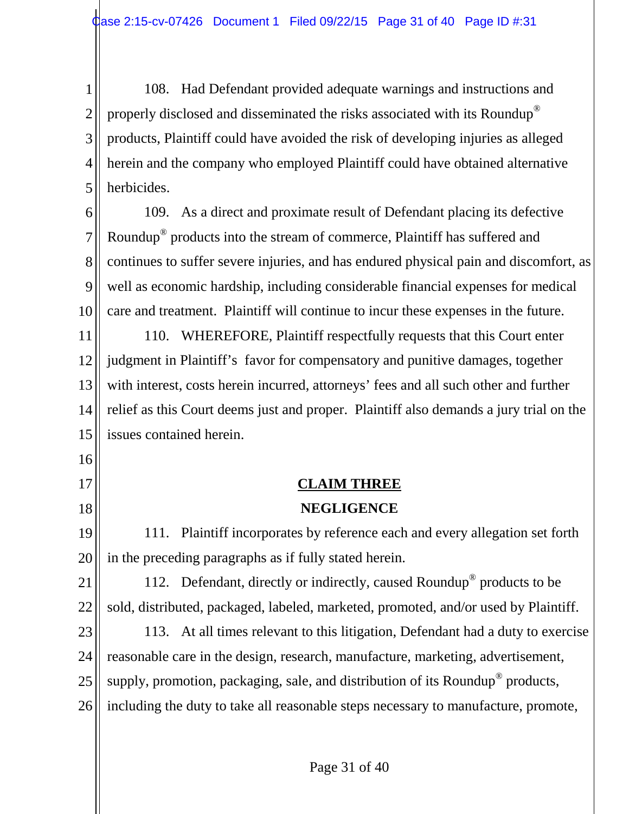1 2 3 4 5 108. Had Defendant provided adequate warnings and instructions and properly disclosed and disseminated the risks associated with its Roundup® products, Plaintiff could have avoided the risk of developing injuries as alleged herein and the company who employed Plaintiff could have obtained alternative herbicides.

6 7 8 9 10 109. As a direct and proximate result of Defendant placing its defective Roundup® products into the stream of commerce, Plaintiff has suffered and continues to suffer severe injuries, and has endured physical pain and discomfort, as well as economic hardship, including considerable financial expenses for medical care and treatment. Plaintiff will continue to incur these expenses in the future.

11 12 13 14 15 110. WHEREFORE, Plaintiff respectfully requests that this Court enter judgment in Plaintiff's favor for compensatory and punitive damages, together with interest, costs herein incurred, attorneys' fees and all such other and further relief as this Court deems just and proper. Plaintiff also demands a jury trial on the issues contained herein.

# 16

17

### 18

# **CLAIM THREE NEGLIGENCE**

19 20 111. Plaintiff incorporates by reference each and every allegation set forth in the preceding paragraphs as if fully stated herein.

21 22 112. Defendant, directly or indirectly, caused Roundup® products to be sold, distributed, packaged, labeled, marketed, promoted, and/or used by Plaintiff.

23 24 25 26 113. At all times relevant to this litigation, Defendant had a duty to exercise reasonable care in the design, research, manufacture, marketing, advertisement, supply, promotion, packaging, sale, and distribution of its Roundup<sup>®</sup> products, including the duty to take all reasonable steps necessary to manufacture, promote,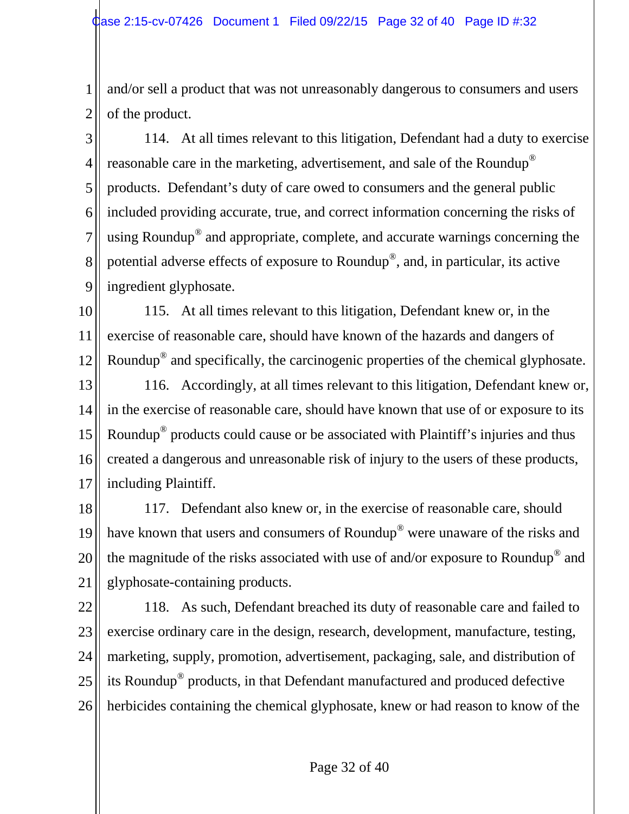1 2 and/or sell a product that was not unreasonably dangerous to consumers and users of the product.

3 4 5 6 7 8 9 114. At all times relevant to this litigation, Defendant had a duty to exercise reasonable care in the marketing, advertisement, and sale of the Roundup® products. Defendant's duty of care owed to consumers and the general public included providing accurate, true, and correct information concerning the risks of using Roundup® and appropriate, complete, and accurate warnings concerning the potential adverse effects of exposure to Roundup®, and, in particular, its active ingredient glyphosate.

10 11 12 115. At all times relevant to this litigation, Defendant knew or, in the exercise of reasonable care, should have known of the hazards and dangers of Roundup® and specifically, the carcinogenic properties of the chemical glyphosate.

13 14 15 16 17 116. Accordingly, at all times relevant to this litigation, Defendant knew or, in the exercise of reasonable care, should have known that use of or exposure to its Roundup® products could cause or be associated with Plaintiff's injuries and thus created a dangerous and unreasonable risk of injury to the users of these products, including Plaintiff.

18 19 20 21 117. Defendant also knew or, in the exercise of reasonable care, should have known that users and consumers of Roundup<sup>®</sup> were unaware of the risks and the magnitude of the risks associated with use of and/or exposure to Roundup® and glyphosate-containing products.

22 23 24 25 26 118. As such, Defendant breached its duty of reasonable care and failed to exercise ordinary care in the design, research, development, manufacture, testing, marketing, supply, promotion, advertisement, packaging, sale, and distribution of its Roundup® products, in that Defendant manufactured and produced defective herbicides containing the chemical glyphosate, knew or had reason to know of the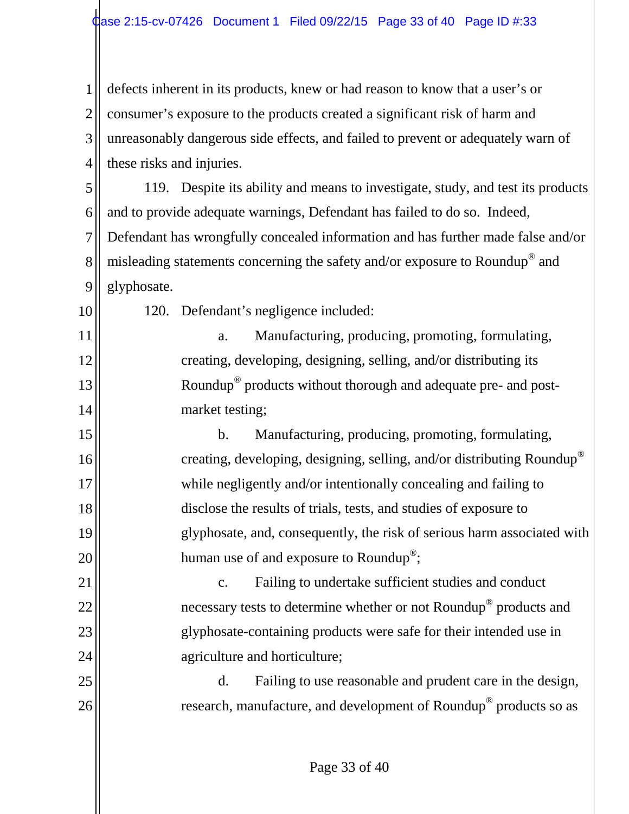1 2 3 4 defects inherent in its products, knew or had reason to know that a user's or consumer's exposure to the products created a significant risk of harm and unreasonably dangerous side effects, and failed to prevent or adequately warn of these risks and injuries.

5 6 7 8 9 119. Despite its ability and means to investigate, study, and test its products and to provide adequate warnings, Defendant has failed to do so. Indeed, Defendant has wrongfully concealed information and has further made false and/or misleading statements concerning the safety and/or exposure to Roundup® and glyphosate.

120. Defendant's negligence included:

10

11

12

13

14

25

26

a. Manufacturing, producing, promoting, formulating, creating, developing, designing, selling, and/or distributing its Roundup® products without thorough and adequate pre- and postmarket testing;

15 16 17 18 19 20 b. Manufacturing, producing, promoting, formulating, creating, developing, designing, selling, and/or distributing Roundup® while negligently and/or intentionally concealing and failing to disclose the results of trials, tests, and studies of exposure to glyphosate, and, consequently, the risk of serious harm associated with human use of and exposure to Roundup<sup>®</sup>;

21 22 23 24 c. Failing to undertake sufficient studies and conduct necessary tests to determine whether or not Roundup® products and glyphosate-containing products were safe for their intended use in agriculture and horticulture;

d. Failing to use reasonable and prudent care in the design, research, manufacture, and development of Roundup® products so as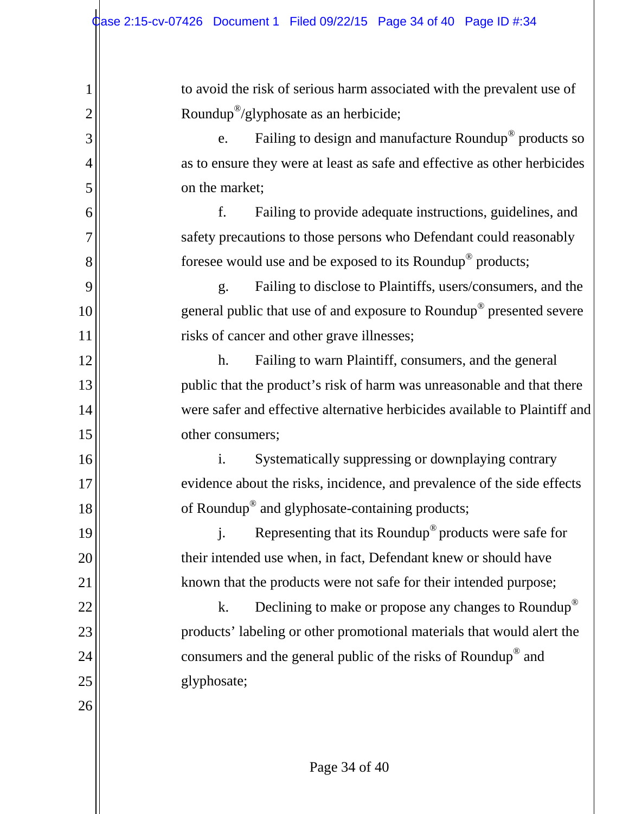1 2 3 4 5 6 7 8 9 10 11 12 13 14 15 16 17 18 19 20 21 22 23 24 25 26 to avoid the risk of serious harm associated with the prevalent use of Roundup®/glyphosate as an herbicide; e. Failing to design and manufacture Roundup<sup>®</sup> products so as to ensure they were at least as safe and effective as other herbicides on the market; f. Failing to provide adequate instructions, guidelines, and safety precautions to those persons who Defendant could reasonably foresee would use and be exposed to its Roundup® products; g. Failing to disclose to Plaintiffs, users/consumers, and the general public that use of and exposure to Roundup® presented severe risks of cancer and other grave illnesses; h. Failing to warn Plaintiff, consumers, and the general public that the product's risk of harm was unreasonable and that there were safer and effective alternative herbicides available to Plaintiff and other consumers; i. Systematically suppressing or downplaying contrary evidence about the risks, incidence, and prevalence of the side effects of Roundup® and glyphosate-containing products; j. Representing that its Roundup® products were safe for their intended use when, in fact, Defendant knew or should have known that the products were not safe for their intended purpose; k. Declining to make or propose any changes to Roundup<sup>®</sup> products' labeling or other promotional materials that would alert the consumers and the general public of the risks of Roundup® and glyphosate;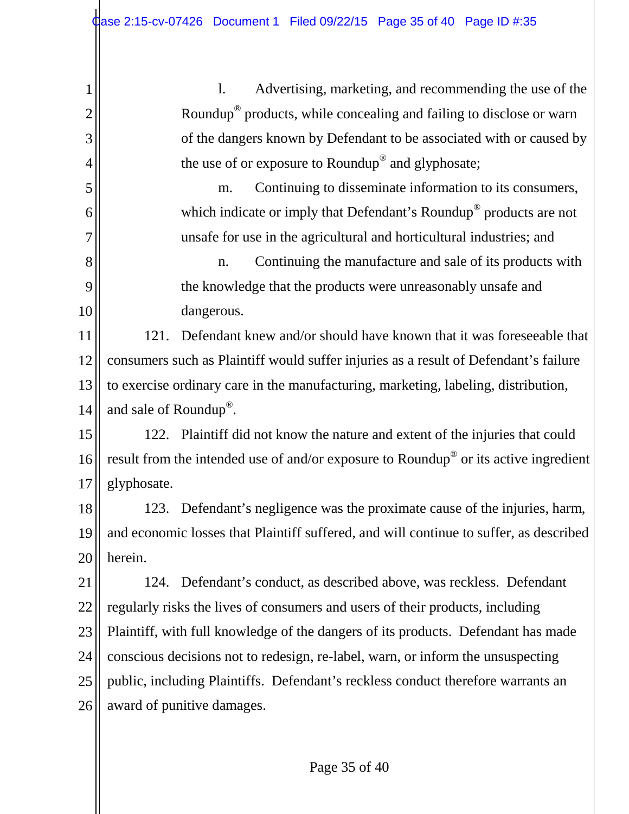2

3

4

5

6

7

8

9

10

l. Advertising, marketing, and recommending the use of the Roundup® products, while concealing and failing to disclose or warn of the dangers known by Defendant to be associated with or caused by the use of or exposure to Roundup® and glyphosate;

m. Continuing to disseminate information to its consumers, which indicate or imply that Defendant's Roundup<sup>®</sup> products are not unsafe for use in the agricultural and horticultural industries; and

n. Continuing the manufacture and sale of its products with the knowledge that the products were unreasonably unsafe and dangerous.

11 12 13 14 121. Defendant knew and/or should have known that it was foreseeable that consumers such as Plaintiff would suffer injuries as a result of Defendant's failure to exercise ordinary care in the manufacturing, marketing, labeling, distribution, and sale of Roundup®.

15 16 17 122. Plaintiff did not know the nature and extent of the injuries that could result from the intended use of and/or exposure to Roundup® or its active ingredient glyphosate.

18 19 20 123. Defendant's negligence was the proximate cause of the injuries, harm, and economic losses that Plaintiff suffered, and will continue to suffer, as described herein.

21 22 23 24 25 26 124. Defendant's conduct, as described above, was reckless. Defendant regularly risks the lives of consumers and users of their products, including Plaintiff, with full knowledge of the dangers of its products. Defendant has made conscious decisions not to redesign, re-label, warn, or inform the unsuspecting public, including Plaintiffs. Defendant's reckless conduct therefore warrants an award of punitive damages.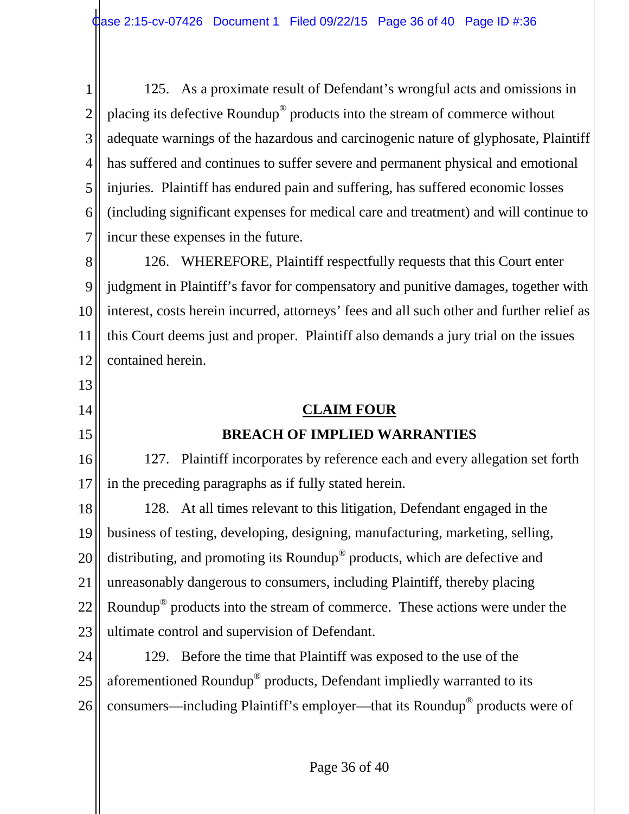1 2 3 4 5 6 7 125. As a proximate result of Defendant's wrongful acts and omissions in placing its defective Roundup® products into the stream of commerce without adequate warnings of the hazardous and carcinogenic nature of glyphosate, Plaintiff has suffered and continues to suffer severe and permanent physical and emotional injuries. Plaintiff has endured pain and suffering, has suffered economic losses (including significant expenses for medical care and treatment) and will continue to incur these expenses in the future.

8 9 10 11 12 126. WHEREFORE, Plaintiff respectfully requests that this Court enter judgment in Plaintiff's favor for compensatory and punitive damages, together with interest, costs herein incurred, attorneys' fees and all such other and further relief as this Court deems just and proper. Plaintiff also demands a jury trial on the issues contained herein.

### **CLAIM FOUR**

# **BREACH OF IMPLIED WARRANTIES**

16 17 127. Plaintiff incorporates by reference each and every allegation set forth in the preceding paragraphs as if fully stated herein.

13

14

15

18 19 20 21 22 23 128. At all times relevant to this litigation, Defendant engaged in the business of testing, developing, designing, manufacturing, marketing, selling, distributing, and promoting its Roundup® products, which are defective and unreasonably dangerous to consumers, including Plaintiff, thereby placing Roundup® products into the stream of commerce. These actions were under the ultimate control and supervision of Defendant.

24 25 26 129. Before the time that Plaintiff was exposed to the use of the aforementioned Roundup® products, Defendant impliedly warranted to its consumers—including Plaintiff's employer—that its Roundup® products were of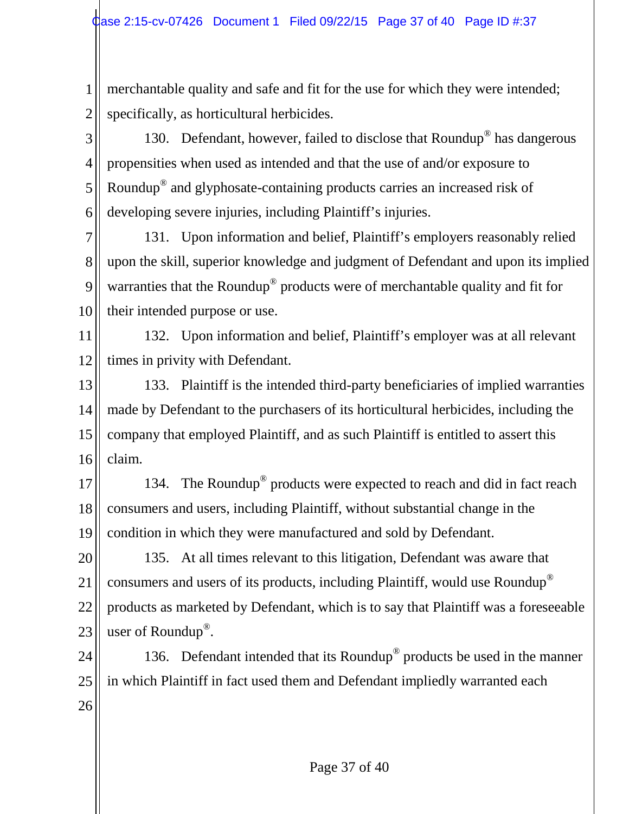1 2 merchantable quality and safe and fit for the use for which they were intended; specifically, as horticultural herbicides.

3 4 5 6 130. Defendant, however, failed to disclose that Roundup® has dangerous propensities when used as intended and that the use of and/or exposure to Roundup® and glyphosate-containing products carries an increased risk of developing severe injuries, including Plaintiff's injuries.

7 8 9 10 131. Upon information and belief, Plaintiff's employers reasonably relied upon the skill, superior knowledge and judgment of Defendant and upon its implied warranties that the Roundup® products were of merchantable quality and fit for their intended purpose or use.

11 12 132. Upon information and belief, Plaintiff's employer was at all relevant times in privity with Defendant.

13 14 15 16 133. Plaintiff is the intended third-party beneficiaries of implied warranties made by Defendant to the purchasers of its horticultural herbicides, including the company that employed Plaintiff, and as such Plaintiff is entitled to assert this claim.

17 18 19 134. The Roundup<sup>®</sup> products were expected to reach and did in fact reach consumers and users, including Plaintiff, without substantial change in the condition in which they were manufactured and sold by Defendant.

20 21 22 23 135. At all times relevant to this litigation, Defendant was aware that consumers and users of its products, including Plaintiff, would use Roundup® products as marketed by Defendant, which is to say that Plaintiff was a foreseeable user of Roundup®.

24 25 26 136. Defendant intended that its Roundup® products be used in the manner in which Plaintiff in fact used them and Defendant impliedly warranted each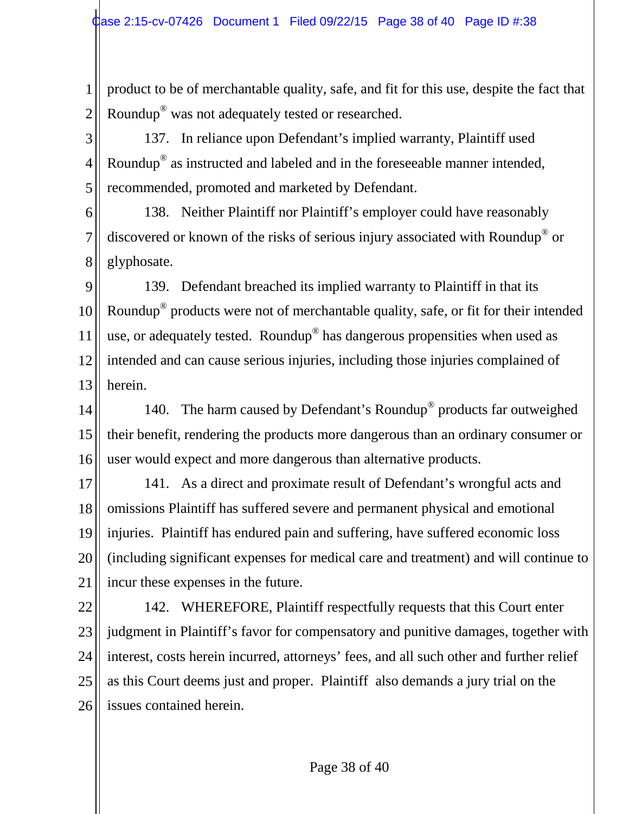1 2 product to be of merchantable quality, safe, and fit for this use, despite the fact that Roundup® was not adequately tested or researched.

3 4 5 137. In reliance upon Defendant's implied warranty, Plaintiff used Roundup® as instructed and labeled and in the foreseeable manner intended, recommended, promoted and marketed by Defendant.

6 7 8 138. Neither Plaintiff nor Plaintiff's employer could have reasonably discovered or known of the risks of serious injury associated with Roundup® or glyphosate.

9 10 11 12 13 139. Defendant breached its implied warranty to Plaintiff in that its Roundup® products were not of merchantable quality, safe, or fit for their intended use, or adequately tested. Roundup<sup>®</sup> has dangerous propensities when used as intended and can cause serious injuries, including those injuries complained of herein.

14 15 16 140. The harm caused by Defendant's Roundup<sup>®</sup> products far outweighed their benefit, rendering the products more dangerous than an ordinary consumer or user would expect and more dangerous than alternative products.

17 18 19 20 21 141. As a direct and proximate result of Defendant's wrongful acts and omissions Plaintiff has suffered severe and permanent physical and emotional injuries. Plaintiff has endured pain and suffering, have suffered economic loss (including significant expenses for medical care and treatment) and will continue to incur these expenses in the future.

22 23 24 25 26 142. WHEREFORE, Plaintiff respectfully requests that this Court enter judgment in Plaintiff's favor for compensatory and punitive damages, together with interest, costs herein incurred, attorneys' fees, and all such other and further relief as this Court deems just and proper. Plaintiff also demands a jury trial on the issues contained herein.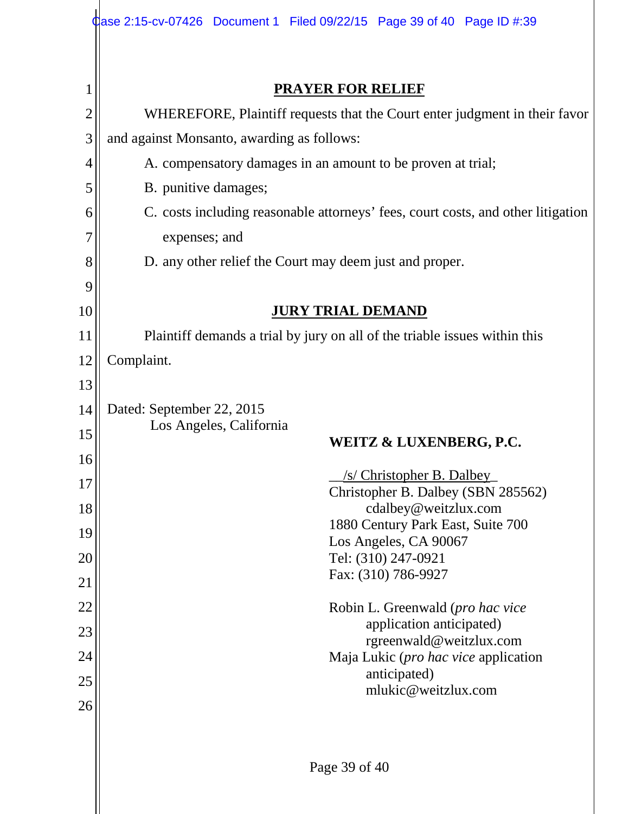|                | <b>Case 2:15-cv-07426 Document 1 Filed 09/22/15 Page 39 of 40 Page ID #:39</b>   |  |  |
|----------------|----------------------------------------------------------------------------------|--|--|
| 1              | <b>PRAYER FOR RELIEF</b>                                                         |  |  |
| $\overline{2}$ | WHEREFORE, Plaintiff requests that the Court enter judgment in their favor       |  |  |
| 3              | and against Monsanto, awarding as follows:                                       |  |  |
| $\overline{4}$ | A. compensatory damages in an amount to be proven at trial;                      |  |  |
| 5              | B. punitive damages;                                                             |  |  |
| 6              | C. costs including reasonable attorneys' fees, court costs, and other litigation |  |  |
| 7              | expenses; and                                                                    |  |  |
| 8              | D. any other relief the Court may deem just and proper.                          |  |  |
| 9              |                                                                                  |  |  |
| 10             | <b>JURY TRIAL DEMAND</b>                                                         |  |  |
| 11             | Plaintiff demands a trial by jury on all of the triable issues within this       |  |  |
| 12             | Complaint.                                                                       |  |  |
| 13             |                                                                                  |  |  |
| 14             | Dated: September 22, 2015<br>Los Angeles, California                             |  |  |
| 15             | <b>WEITZ &amp; LUXENBERG, P.C.</b>                                               |  |  |
| 16             | /s/ Christopher B. Dalbey_                                                       |  |  |
| 17             | Christopher B. Dalbey (SBN 285562)                                               |  |  |
| 18             | cdalbey@weitzlux.com<br>1880 Century Park East, Suite 700                        |  |  |
| 19             | Los Angeles, CA 90067                                                            |  |  |
| 20             | Tel: (310) 247-0921<br>Fax: (310) 786-9927                                       |  |  |
| 21             |                                                                                  |  |  |
| 22             | Robin L. Greenwald (pro hac vice<br>application anticipated)                     |  |  |
| 23             | rgreenwald@weitzlux.com                                                          |  |  |
| 24             | Maja Lukic (pro hac vice application<br>anticipated)                             |  |  |
| 25             | mlukic@weitzlux.com                                                              |  |  |
| 26             |                                                                                  |  |  |
|                | Page 39 of 40                                                                    |  |  |